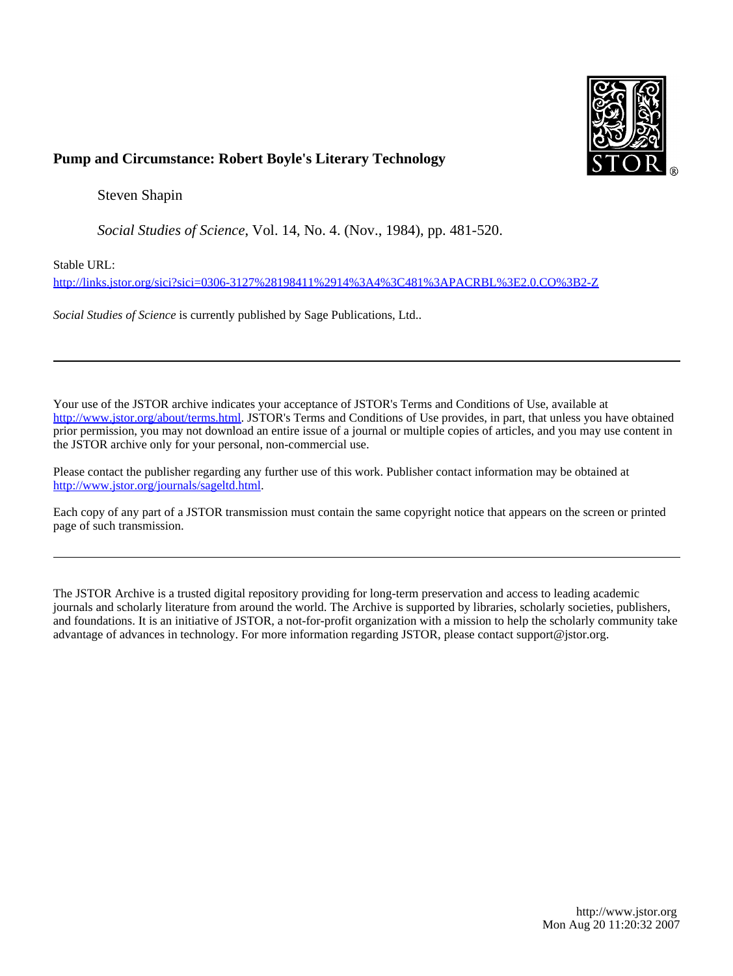

# **Pump and Circumstance: Robert Boyle's Literary Technology**

Steven Shapin

*Social Studies of Science*, Vol. 14, No. 4. (Nov., 1984), pp. 481-520.

Stable URL:

<http://links.jstor.org/sici?sici=0306-3127%28198411%2914%3A4%3C481%3APACRBL%3E2.0.CO%3B2-Z>

*Social Studies of Science* is currently published by Sage Publications, Ltd..

Your use of the JSTOR archive indicates your acceptance of JSTOR's Terms and Conditions of Use, available at [http://www.jstor.org/about/terms.html.](http://www.jstor.org/about/terms.html) JSTOR's Terms and Conditions of Use provides, in part, that unless you have obtained prior permission, you may not download an entire issue of a journal or multiple copies of articles, and you may use content in the JSTOR archive only for your personal, non-commercial use.

Please contact the publisher regarding any further use of this work. Publisher contact information may be obtained at [http://www.jstor.org/journals/sageltd.html.](http://www.jstor.org/journals/sageltd.html)

Each copy of any part of a JSTOR transmission must contain the same copyright notice that appears on the screen or printed page of such transmission.

The JSTOR Archive is a trusted digital repository providing for long-term preservation and access to leading academic journals and scholarly literature from around the world. The Archive is supported by libraries, scholarly societies, publishers, and foundations. It is an initiative of JSTOR, a not-for-profit organization with a mission to help the scholarly community take advantage of advances in technology. For more information regarding JSTOR, please contact support@jstor.org.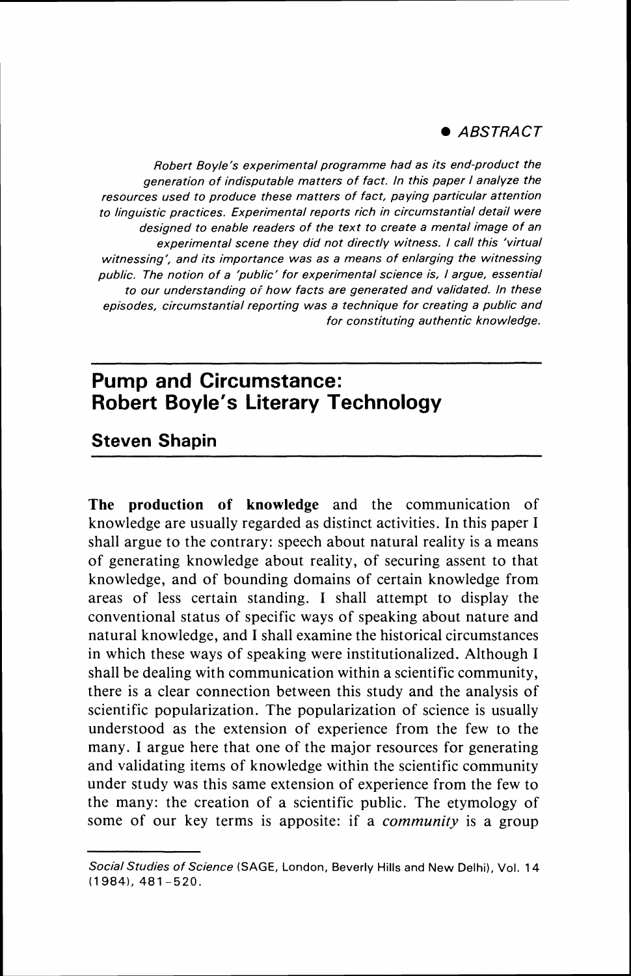

Robert Boyle's experimental programme had as its end-product the generation of indisputable matters of fact. In this paper 1analyze the resources used to produce these matters of fact, paying particular attention to linguistic practices. Experimental reports rich in circumstantial detail were designed to enable readers of the text to create a mental image of an experimental scene they did not directly witness. I call this 'virtual witnessing', and its importance was as a means of enlarging the witnessing public. The notion of a 'public' for experimental science is, 1argue, essential to our understanding of how facts are generated and validated. In these episodes, circumstantial reporting was a technique for creating a public and for constituting authentic knowledge.

# **Pump and Circumstance: Robert Boyle's Literary Technology**

## **Steven Shapin**

**The production of knowledge** and the communication of knowledge are usually regarded as distinct activities. In this paper I shall argue to the contrary: speech about natural reality is a means of generating knowledge about reality, of securing assent to that knowledge, and of bounding domains of certain knowledge from areas of less certain standing. I shall attempt to display the conventional status of specific ways of speaking about nature and natural knowledge, and I shall examine the historical circumstances in which these ways of speaking were institutionalized. Although I shall be dealing with communication within a scientific community, there is a clear connection between this study and the analysis of scientific popularization. The popularization of science is usually understood as the extension of experience from the few to the many. I argue here that one of the major resources for generating and validating items of knowledge within the scientific community under study was this same extension of experience from the few to the many: the creation of a scientific public. The etymology of some of our key terms is apposite: if a *community* is a group

Social Studies of Science (SAGE, London, Beverly Hills and New Delhi), Vol. 14  $(1984), 481 - 520.$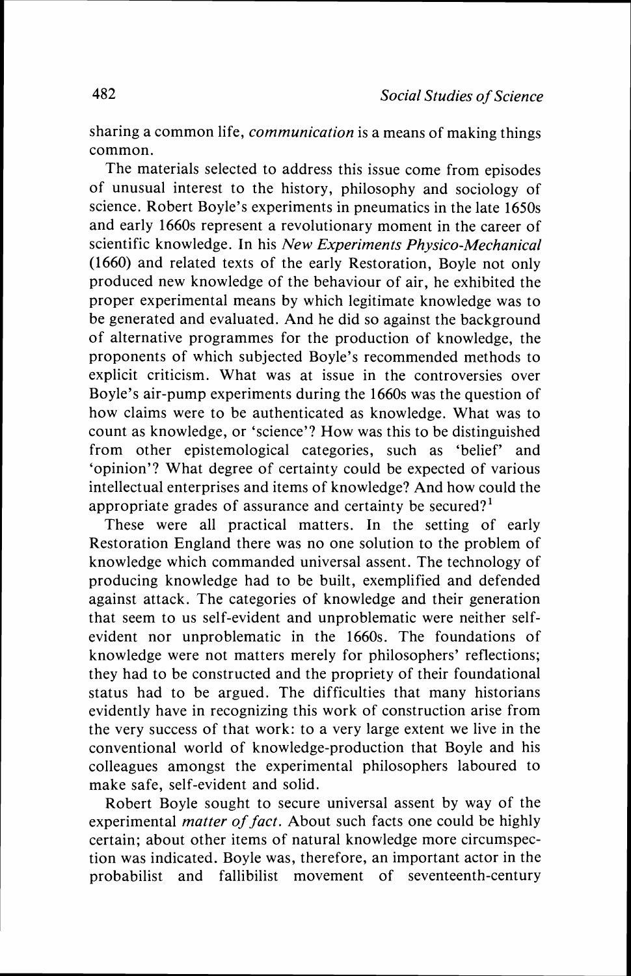sharing a common life, *communication* is a means of making things common.

The materials selected to address this issue come from episodes of unusual interest to the history, philosophy and sociology of science. Robert Boyle's experiments in pneumatics in the late 1650s and early 1660s represent a revolutionary moment in the career of scientific knowledge. In his *New Experiments Physico-Mechanical*  (1660) and related texts of the early Restoration, Boyle not only produced new knowledge of the behaviour of air, he exhibited the proper experimental means by which legitimate knowledge was to be generated and evaluated. And he did so against the background of alternative programmes for the production of knowledge, the proponents of which subjected Boyle's recommended methods to explicit criticism. What was at issue in the controversies over Boyle's air-pump experiments during the 1660s was the question of how claims were to be authenticated as knowledge. What was to count as knowledge, or 'science'? How was this to be distinguished from other epistemological categories, such as 'belief' and 'opinion'? What degree of certainty could be expected of various intellectual enterprises and items of knowledge? And how could the appropriate grades of assurance and certainty be secured?'

These were all practical matters. In the setting of early Restoration England there was no one solution to the problem of knowledge which commanded universal assent. The technology of producing knowledge had to be built, exemplified and defended against attack. The categories of knowledge and their generation that seem to us self-evident and unproblematic were neither selfevident nor unproblematic in the 1660s. The foundations of knowledge were not matters merely for philosophers' reflections; they had to be constructed and the propriety of their foundational status had to be argued. The difficulties that many historians evidently have in recognizing this work of construction arise from the very success of that work: to a very large extent we live in the conventional world of knowledge-production that Boyle and his colleagues amongst the experimental philosophers laboured to make safe, self-evident and solid.

Robert Boyle sought to secure universal assent by way of the experimental *matter of fact.* About such facts one could be highly certain; about other items of natural knowledge more circumspection was indicated. Boyle was, therefore, an important actor in the probabilist and fallibilist movement of seventeenth-century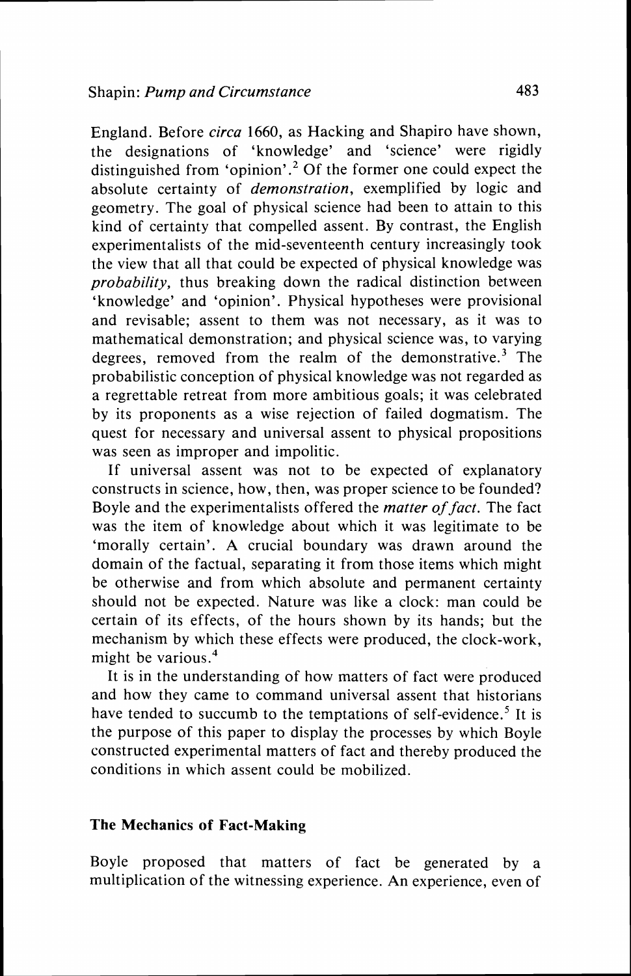England. Before *circa* 1660, as Hacking and Shapiro have shown, the designations of 'knowledge' and 'science' were rigidly distinguished from 'opinion'.2 Of the former one could expect the absolute certainty of *demonstration,* exemplified by logic and geometry. The goal of physical science had been to attain to this kind of certainty that compelled assent. By contrast, the English experimentalists of the mid-seventeenth century increasingly took the view that all that could be expected of physical knowledge was *probability,* thus breaking down the radical distinction between 'knowledge' and 'opinion'. Physical hypotheses were provisional and revisable; assent to them was not necessary, as it was to mathematical demonstration; and physical science was, to varying degrees, removed from the realm of the demonstrative.<sup>3</sup> The probabilistic conception of physical knowledge was not regarded as a regrettable retreat from more ambitious goals; it was celebrated by its proponents as a wise rejection of failed dogmatism. The quest for necessary and universal assent to physical propositions was seen as improper and impolitic.

If universal assent was not to be expected of explanatory constructs in science, how, then, was proper science to be founded? Boyle and the experimentalists offered the *matter of fact.* The fact was the item of knowledge about which it was legitimate to be 'morally certain'. A crucial boundary was drawn around the domain of the factual, separating it from those items which might be otherwise and from which absolute and permanent certainty should not be expected. Nature was like a clock: man could be certain of its effects, of the hours shown by its hands; but the mechanism by which these effects were produced, the clock-work, might be various.<sup>4</sup>

It is in the understanding of how matters of fact were produced and how they came to command universal assent that historians have tended to succumb to the temptations of self-evidence.<sup>5</sup> It is the purpose of this paper to display the processes by which Boyle constructed experimental matters of fact and thereby produced the conditions in which assent could be mobilized.

### **The Mechanics of Fact-Making**

Boyle proposed that matters of fact be generated by a multiplication of the witnessing experience. An experience, even of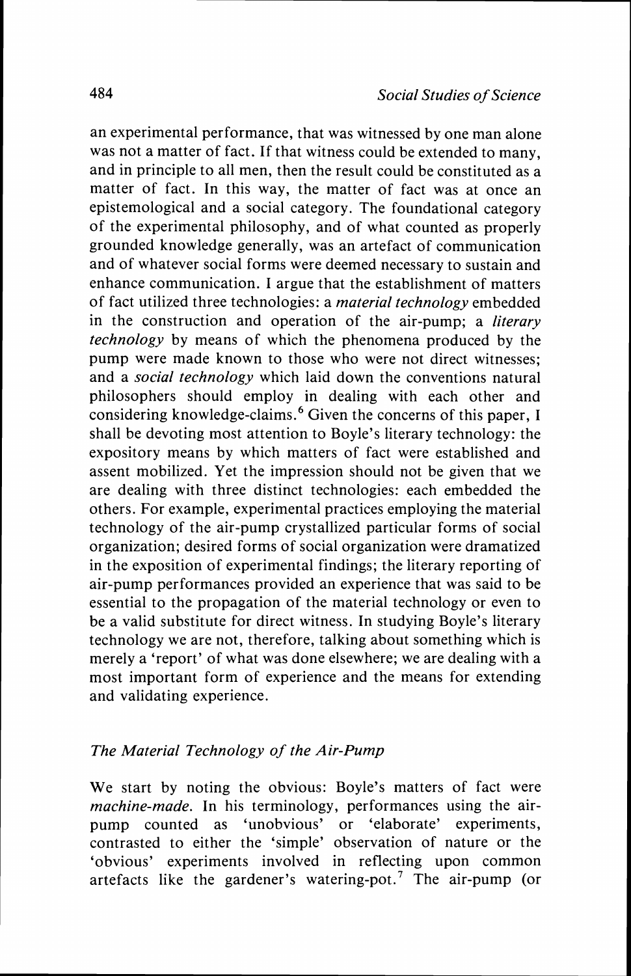an experimental performance, that was witnessed by one man alone was not a matter of fact. If that witness could be extended to many, and in principle to all men, then the result could be constituted as a matter of fact. In this way, the matter of fact was at once an epistemological and a social category. The foundational category of the experimental philosophy, and of what counted as properly grounded knowledge generally, was an artefact of communication and of whatever social forms were deemed necessary to sustain and enhance communication. I argue that the establishment of matters of fact utilized three technologies: a *material technology* embedded in the construction and operation of the air-pump; a *literary technology* by means of which the phenomena produced by the pump were made known to those who were not direct witnesses; and a *social technology* which laid down the conventions natural philosophers should employ in dealing with each other and considering knowledge-claims.<sup>6</sup> Given the concerns of this paper, I shall be devoting most attention to Boyle's literary technology: the expository means by which matters of fact were established and assent mobilized. Yet the impression should not be given that we are dealing with three distinct technologies: each embedded the others. For example, experimental practices employing the material technology of the air-pump crystallized particular forms of social organization; desired forms of social organization were dramatized in the exposition of experimental findings; the literary reporting of air-pump performances provided an experience that was said to be essential to the propagation of the material technology or even to be a valid substitute for direct witness. In studying Boyle's literary technology we are not, therefore, talking about something which is merely a 'report' of what was done elsewhere; we are dealing with a most important form of experience and the means for extending and validating experience.

### *The Material Technology of the Air-Pump*

We start by noting the obvious: Boyle's matters of fact were *machine-made.* In his terminology, performances using the airpump counted as 'unobvious' or 'elaborate' experiments, contrasted to either the 'simple' observation of nature or the 'obvious' experiments involved in reflecting upon common artefacts like the gardener's watering-pot.<sup>7</sup> The air-pump (or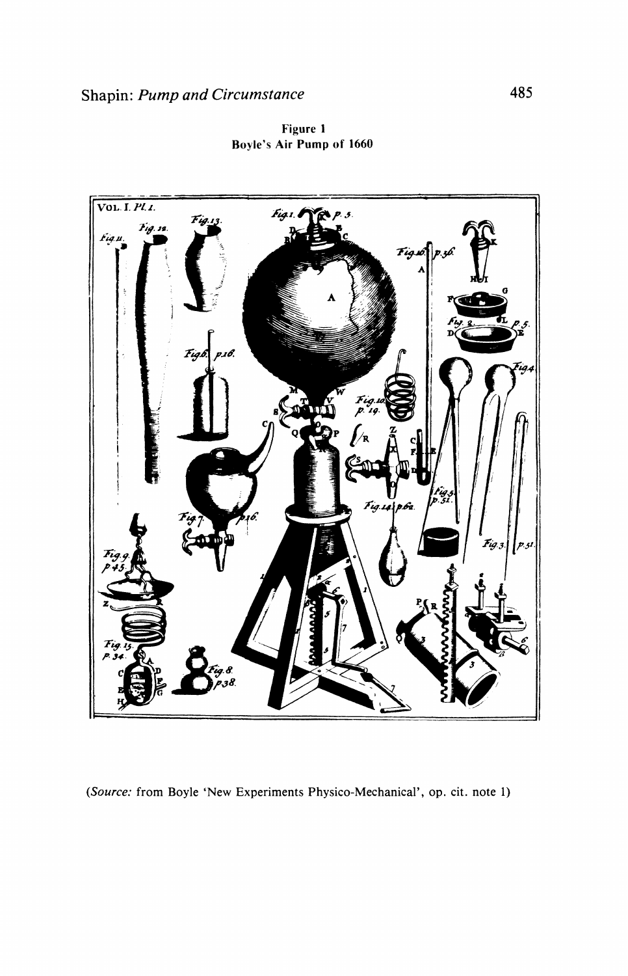

**Figure 1 Bo?le'5 Air Pump of 1660** 

*(Source:* from Boyle 'New Experiments Physico-Mechanical', op. cit. note 1)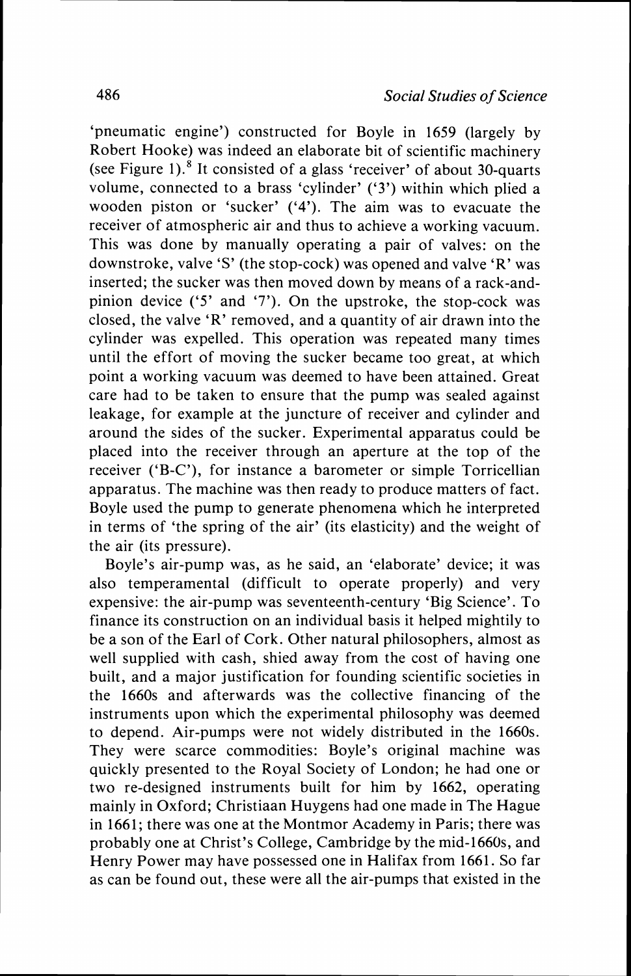'pneumatic engine') constructed for Boyle in 1659 (largely by Robert Hooke) was indeed an elaborate bit of scientific machinery (see Figure 1). $<sup>8</sup>$  It consisted of a glass 'receiver' of about 30-quarts</sup> volume, connected to a brass 'cylinder' ('3') within which plied a wooden piston or 'sucker' ('4'). The aim was to evacuate the receiver of atmospheric air and thus to achieve a working vacuum. This was done by manually operating a pair of valves: on the downstroke, valve 'S' (the stop-cock) was opened and valve 'R' was inserted; the sucker was then moved down by means of a rack-andpinion device ('5' and '7'). On the upstroke, the stop-cock was closed, the valve 'R' removed, and a quantity of air drawn into the cylinder was expelled. This operation was repeated many times until the effort of moving the sucker became too great, at which point a working vacuum was deemed to have been attained. Great care had to be taken to ensure that the pump was sealed against leakage, for example at the juncture of receiver and cylinder and around the sides of the sucker. Experimental apparatus could be placed into the receiver through an aperture at the top of the receiver ('B-C'), for instance a barometer or simple Torricellian apparatus. The machine was then ready to produce matters of fact. Boyle used the pump to generate phenomena which he interpreted in terms of 'the spring of the air' (its elasticity) and the weight of the air (its pressure).

Boyle's air-pump was, as he said, an 'elaborate' device; it was also temperamental (difficult to operate properly) and very expensive: the air-pump was seventeenth-century 'Big Science'. To finance its construction on an individual basis it helped mightily to be a son of the Earl of Cork. Other natural philosophers, almost as well supplied with cash, shied away from the cost of having one built, and a major justification for founding scientific societies in the 1660s and afterwards was the collective financing of the instruments upon which the experimental philosophy was deemed to depend. Air-pumps were not widely distributed in the 1660s. They were scarce commodities: Boyle's original machine was quickly presented to the Royal Society of London; he had one or two re-designed instruments built for him by 1662, operating mainly in Oxford; Christiaan Huygens had one made in The Hague in 1661; there was one at the Montmor Academy in Paris; there was probably one at Christ's College, Cambridge by the mid-1660s, and Henry Power may have possessed one in Halifax from 1661. So far as can be found out, these were all the air-pumps that existed in the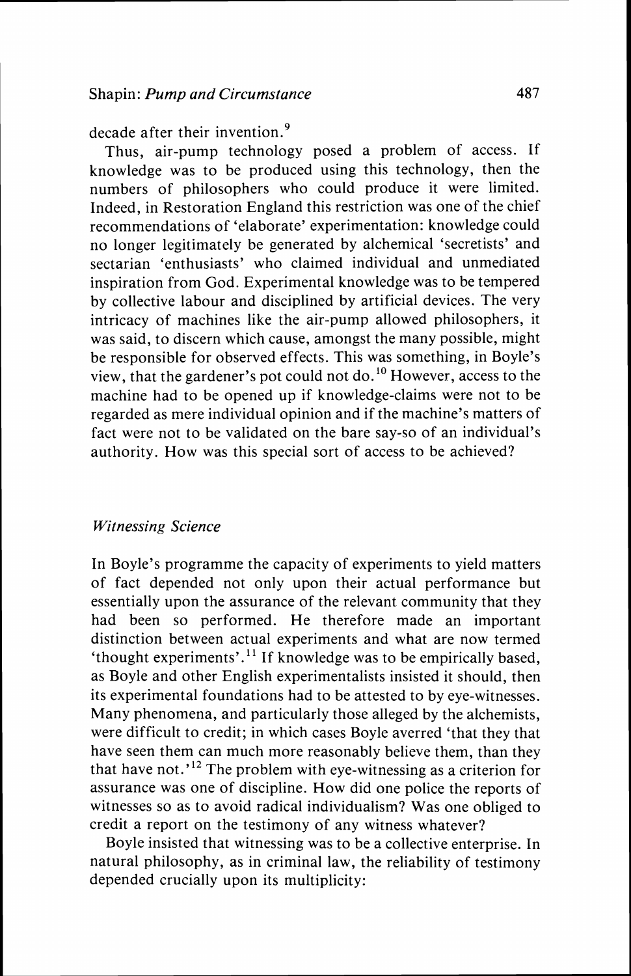decade after their invention.<sup>9</sup>

Thus, air-pump technology posed a problem of access. If knowledge was to be produced using this technology, then the numbers of philosophers who could produce it were limited. Indeed, in Restoration England this restriction was one of the chief recommendations of 'elaborate' experimentation: knowledge could no longer legitimately be generated by alchemical 'secretists' and sectarian 'enthusiasts' who claimed individual and unmediated inspiration from God. Experimental knowledge was to be tempered by collective labour and disciplined by artificial devices. The very intricacy of machines like the air-pump allowed philosophers, it was said, to discern which cause, amongst the many possible, might be responsible for observed effects. This was something, in Boyle's view, that the gardener's pot could not do.<sup>10</sup> However, access to the machine had to be opened up if knowledge-claims were not to be regarded as mere individual opinion and if the machine's matters of fact were not to be validated on the bare say-so of an individual's authority. How was this special sort of access to be achieved?

#### *Witnessing Science*

In Boyle's programme the capacity of experiments to yield matters of fact depended not only upon their actual performance but essentially upon the assurance of the relevant community that they had been so performed. He therefore made an important distinction between actual experiments and what are now termed 'thought experiments'.<sup>11</sup> If knowledge was to be empirically based, as Boyle and other English experimentalists insisted it should, then its experimental foundations had to be attested to by eye-witnesses. Many phenomena, and particularly those alleged by the alchemists, were difficult to credit; in which cases Boyle averred 'that they that have seen them can much more reasonably believe them, than they that have not.<sup> $12$ </sup> The problem with eye-witnessing as a criterion for assurance was one of discipline. How did one police the reports of witnesses so as to avoid radical individualism? Was one obliged to credit a report on the testimony of any witness whatever?

Boyle insisted that witnessing was to be a collective enterprise. In natural philosophy, as in criminal law, the reliability of testimony depended crucially upon its multiplicity: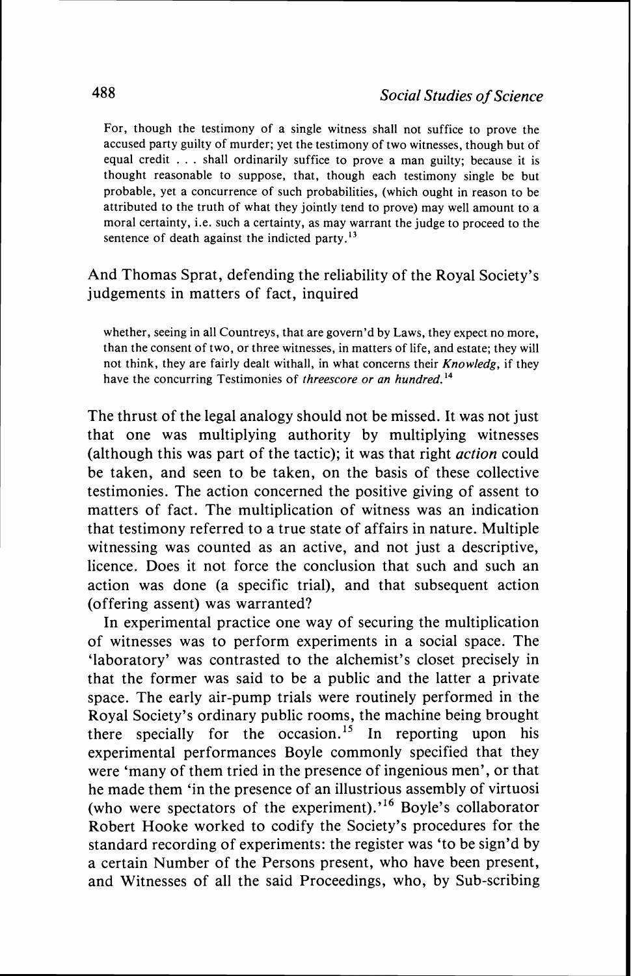For, though the testimony of a single witness shall not suffice to prove the accused party guilty of murder; yet the testimony of two witnesses, though but of equal credit . . . shall ordinarily suffice to prove a man guilty; because it is thought reasonable to suppose, that, though each testimony single be but probable, yet a concurrence of such probabilities, (which ought in reason to be attributed to the truth of what they jointly tend to prove) may well amount to a moral certainty, i.e. such a certainty, as may warrant the judge to proceed to the sentence of death against the indicted party.<sup>13</sup>

## And Thomas Sprat, defending the reliability of the Royal Society's judgements in matters of fact, inquired

whether, seeing in all Countreys, that are govern'd by Laws, they expect no more, than the consent of two, or three witnesses, in matters of life, and estate; they will not think, they are fairly dealt withall, in what concerns their *Knowledg,* if they have the concurring Testimonies of *threescore or an hundred.14* 

The thrust of the legal analogy should not be missed. It was not just that one was multiplying authority by multiplying witnesses (although this was part of the tactic); it was that right *action* could be taken, and seen to be taken, on the basis of these collective testimonies. The action concerned the positive giving of assent to matters of fact. The multiplication of witness was an indication that testimony referred to a true state of affairs in nature. Multiple witnessing was counted as an active, and not just a descriptive, licence. Does it not force the conclusion that such and such an action was done (a specific trial), and that subsequent action (offering assent) was warranted?

In experimental practice one way of securing the multiplication of witnesses was to perform experiments in a social space. The 'laboratory' was contrasted to the alchemist's closet precisely in that the former was said to be a public and the latter a private space. The early air-pump trials were routinely performed in the Royal Society's ordinary public rooms, the machine being brought there specially for the occasion.<sup>15</sup> In reporting upon his experimental performances Boyle commonly specified that they were 'many of them tried in the presence of ingenious men', or that he made them 'in the presence of an illustrious assembly of virtuosi (who were spectators of the experiment).<sup> $16$ </sup> Boyle's collaborator Robert Hooke worked to codify the Society's procedures for the standard recording of experiments: the register was 'to be sign'd by a certain Number of the Persons present, who have been present, and Witnesses of all the said Proceedings, who, by Sub-scribing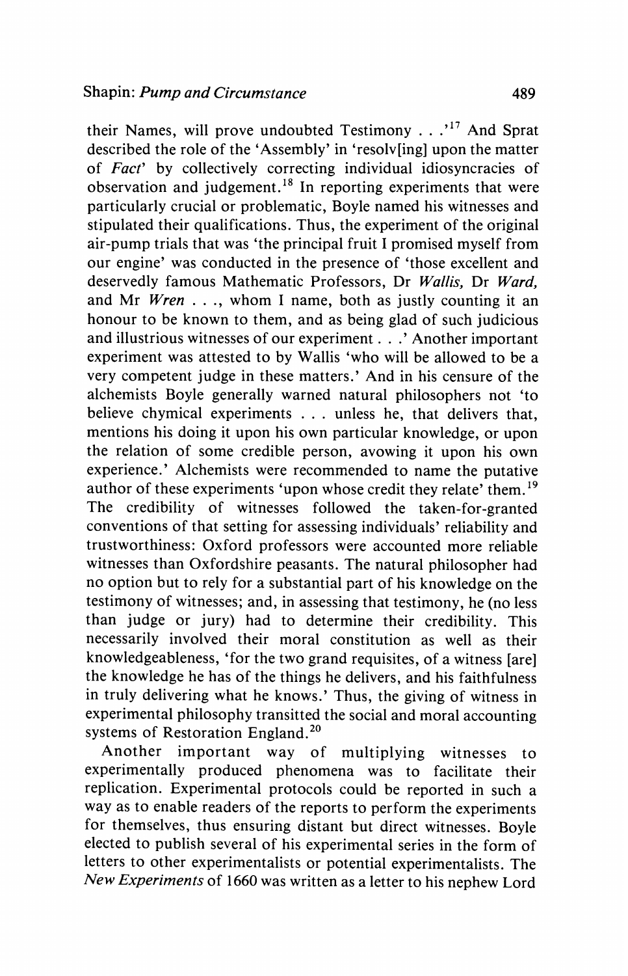their Names, will prove undoubted Testimony . . **.'I7** And Sprat described the role of the 'Assembly' in 'resolv[ing] upon the matter of Fact' by collectively correcting individual idiosyncracies of observation and judgement.<sup>18</sup> In reporting experiments that were particularly crucial or problematic, Boyle named his witnesses and stipulated their qualifications. Thus, the experiment of the original air-pump trials that was 'the principal fruit I promised myself from our engine' was conducted in the presence of 'those excellent and deservedly famous Mathematic Professors, Dr Wallis, Dr Ward, and Mr  $Wren$  . . ., whom I name, both as justly counting it an honour to be known to them, and as being glad of such judicious and illustrious witnesses of our experiment . . .'Another important experiment was attested to by Wallis 'who will be allowed to be a very competent judge in these matters.' And in his censure of the alchemists Boyle generally warned natural philosophers not 'to believe chymical experiments . . . unless he, that delivers that, mentions his doing it upon his own particular knowledge, or upon the relation of some credible person, avowing it upon his own experience.' Alchemists were recommended to name the putative author of these experiments 'upon whose credit they relate' them.19 The credibility of witnesses followed the taken-for-granted conventions of that setting for assessing individuals' reliability and trustworthiness: Oxford professors were accounted more reliable witnesses than Oxfordshire peasants. The natural philosopher had no option but to rely for a substantial part of his knowledge on the testimony of witnesses; and, in assessing that testimony, he (no less than judge or jury) had to determine their credibility. This necessarily involved their moral constitution as well as their knowledgeableness, 'for the two grand requisites, of a witness [are] the knowledge he has of the things he delivers, and his faithfulness in truly delivering what he knows.' Thus, the giving of witness in experimental philosophy transitted the social and moral accounting systems of Restoration England. $20$ 

Another important way of multiplying witnesses to experimentally produced phenomena was to facilitate their replication. Experimental protocols could be reported in such a way as to enable readers of the reports to perform the experiments for themselves, thus ensuring distant but direct witnesses. Boyle elected to publish several of his experimental series in the form of letters to other experimentalists or potential experimentalists. The New Experiments of 1660 was written as a letter to his nephew Lord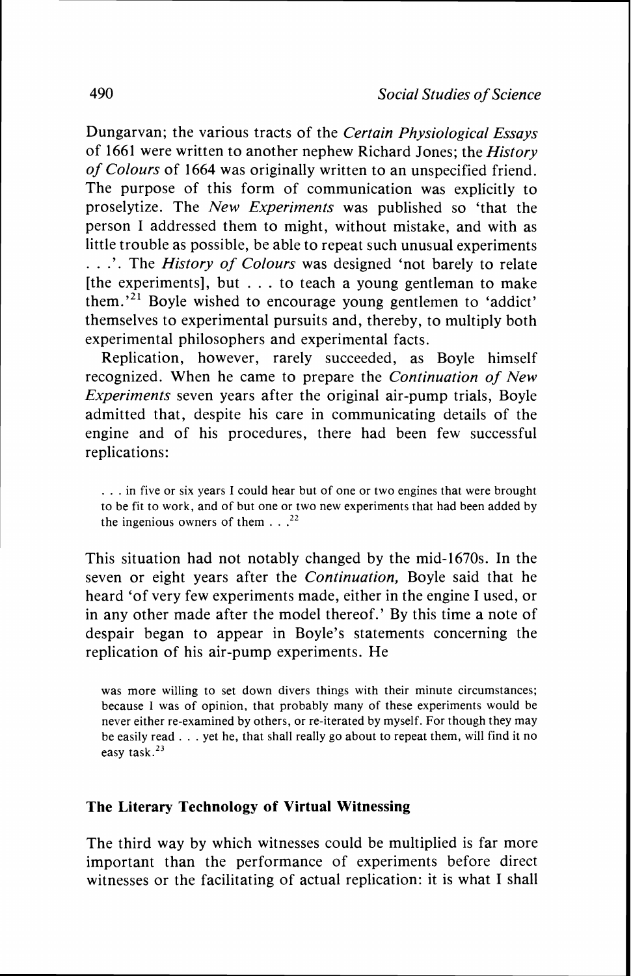Dungarvan; the various tracts of the *Certain Physiological Essays*  of 1661 were written to another nephew Richard Jones; the *History of Colours* of 1664 was originally written to an unspecified friend. The purpose of this form of communication was explicitly to proselytize. The *New Experiments* was published so 'that the person I addressed them to might, without mistake, and with as little trouble as possible, be able to repeat such unusual experiments . . .'. The *History of Colours* was designed 'not barely to relate [the experiments], but  $\dots$  to teach a young gentleman to make them.'<sup> $21$ </sup> Boyle wished to encourage young gentlemen to 'addict' themselves to experimental pursuits and, thereby, to multiply both experimental philosophers and experimental facts.

Replication, however, rarely succeeded, as Boyle himself recognized. When he came to prepare the *Continuation of New Experiments* seven years after the original air-pump trials, Boyle admitted that, despite his care in communicating details of the engine and of his procedures, there had been few successful replications:

. . . in five or six years I could hear but of one or two engines that were brought to be fit to work, and of but one or two new experiments that had been added by the ingenious owners of them  $\ldots$ <sup>22</sup>

This situation had not notably changed by the mid-1670s. In the seven or eight years after the *Continuation,* Boyle said that he heard 'of very few experiments made, either in the engine I used, or in any other made after the model thereof.' By this time a note of despair began to appear in Boyle's statements concerning the replication of his air-pump experiments. He

was more willing to set down divers things with their minute circumstances; because 1 was of opinion, that probably many of these experiments would be never either re-examined by others, or re-iterated by myself. For though they may be easily read . . . yet he, that shall really go about to repeat them, will find it no easy task.23

### **The Literary Technology of Virtual Witnessing**

The third way by which witnesses could be multiplied is far more important than the performance of experiments before direct witnesses or the facilitating of actual replication: it is what I shall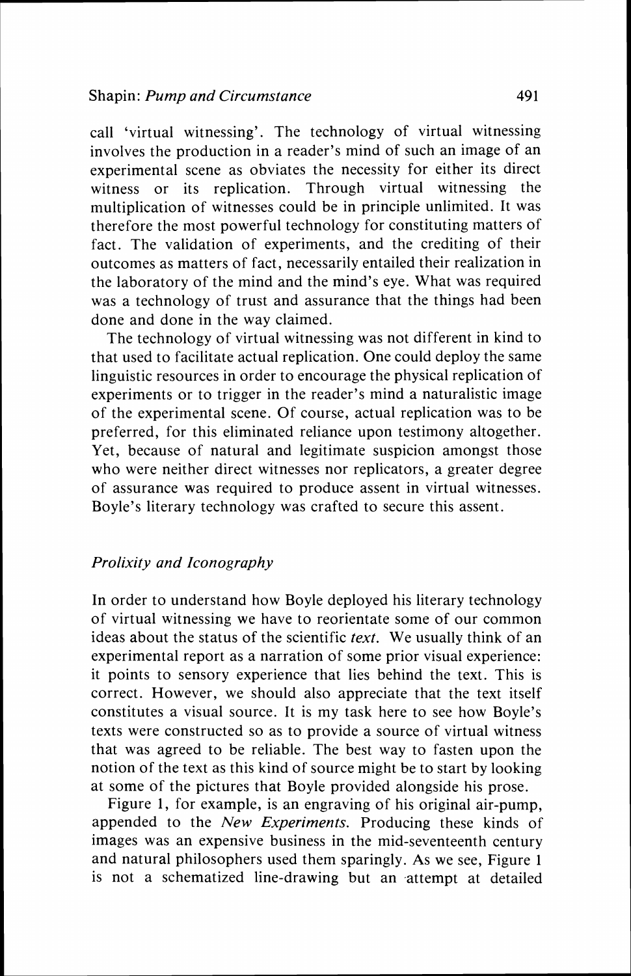call 'virtual witnessing'. The technology of virtual witnessing involves the production in a reader's mind of such an image of an experimental scene as obviates the necessity for either its direct witness or its replication. Through virtual witnessing the multiplication of witnesses could be in principle unlimited. It was therefore the most powerful technology for constituting matters of fact. The validation of experiments, and the crediting of their outcomes as matters of fact, necessarily entailed their realization in the laboratory of the mind and the mind's eye. What was required was a technology of trust and assurance that the things had been done and done in the way claimed.

The technology of virtual witnessing was not different in kind to that used to facilitate actual replication. One could deploy the same linguistic resources in order to encourage the physical replication of experiments or to trigger in the reader's mind a naturalistic image of the experimental scene. Of course, actual replication was to be preferred, for this eliminated reliance upon testimony altogether. Yet, because of natural and legitimate suspicion amongst those who were neither direct witnesses nor replicators, a greater degree of assurance was required to produce assent in virtual witnesses. Boyle's literary technology was crafted to secure this assent.

## *Prolixity and Iconography*

In order to understand how Boyle deployed his literary technology of virtual witnessing we have to reorientate some of our common ideas about the status of the scientific *text.* We usually think of an experimental report as a narration of some prior visual experience: it points to sensory experience that lies behind the text. This is correct. However, we should also appreciate that the text itself constitutes a visual source. It is my task here to see how Boyle's texts were constructed so as to provide a source of virtual witness that was agreed to be reliable. The best way to fasten upon the notion of the text as this kind of source might be to start by looking at some of the pictures that Boyle provided alongside his prose.

Figure 1, for example, is an engraving of his original air-pump, appended to the *New Experiments.* Producing these kinds of images was an expensive business in the mid-seventeenth century and natural philosophers used them sparingly. As we see, Figure **<sup>1</sup>** is not a schematized line-drawing but an -attempt at detailed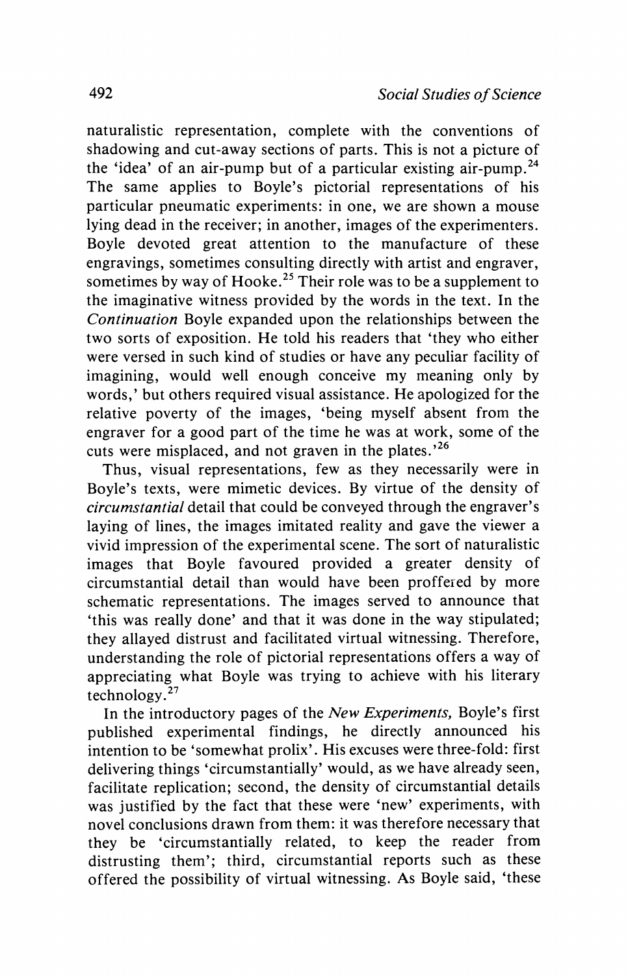naturalistic representation, complete with the conventions of shadowing and cut-away sections of parts. This is not a picture of the 'idea' of an air-pump but of a particular existing air-pump.<sup>24</sup> The same applies to Boyle's pictorial representations of his particular pneumatic experiments: in one, we are shown a mouse lying dead in the receiver; in another, images of the experimenters. Boyle devoted great attention to the manufacture of these engravings, sometimes consulting directly with artist and engraver, sometimes by way of  $Hooke.<sup>25</sup>$  Their role was to be a supplement to the imaginative witness provided by the words in the text. In the *Continuation* Boyle expanded upon the relationships between the two sorts of exposition. He told his readers that 'they who either were versed in such kind of studies or have any peculiar facility of imagining, would well enough conceive my meaning only by words,' but others required visual assistance. He apologized for the relative poverty of the images, 'being myself absent from the engraver for a good part of the time he was at work, some of the cuts were misplaced, and not graven in the plates.<sup>'26</sup>

Thus, visual representations, few as they necessarily were in Boyle's texts, were mimetic devices. By virtue of the density of *circumstantial* detail that could be conveyed through the engraver's laying of lines, the images imitated reality and gave the viewer a vivid impression of the experimental scene. The sort of naturalistic images that Boyle favoured provided a greater density of circumstantial detail than would have been proffered by more schematic representations. The images served to announce that 'this was really done' and that it was done in the way stipulated; they allayed distrust and facilitated virtual witnessing. Therefore, understanding the role of pictorial representations offers a way of appreciating what Boyle was trying to achieve with his literary technology.27

In the introductory pages of the *New Experiments,* Boyle's first published experimental findings, he directly announced his intention to be 'somewhat prolix'. His excuses were three-fold: first delivering things 'circumstantially' would, as we have already seen, facilitate replication; second, the density of circumstantial details was justified by the fact that these were 'new' experiments, with novel conclusions drawn from them: it was therefore necessary that they be 'circumstantially related, to keep the reader from distrusting them'; third, circumstantial reports such as these offered the possibility of virtual witnessing. As Boyle said, 'these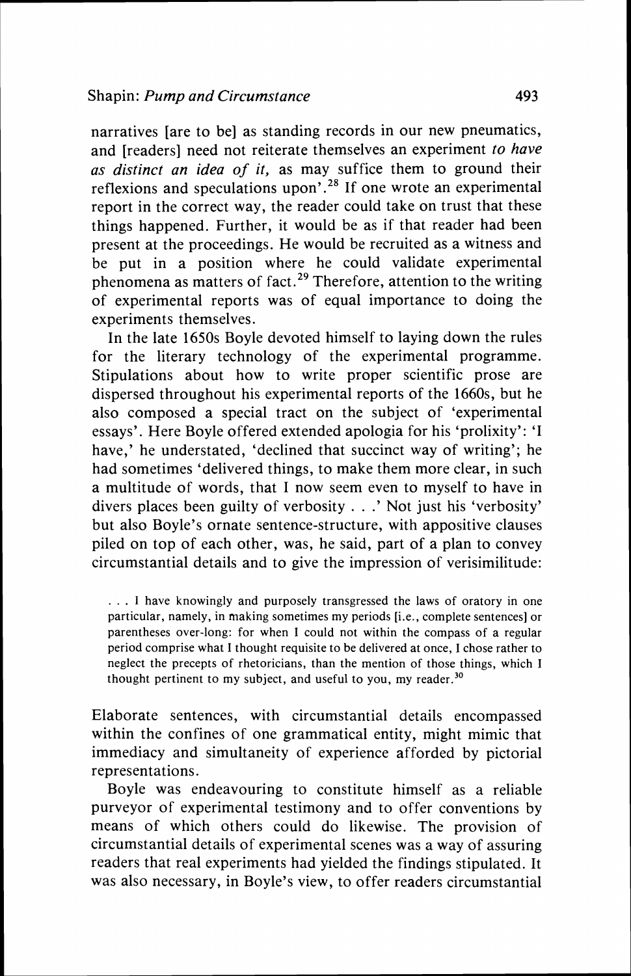narratives [are to be] as standing records in our new pneumatics, and [readers] need not reiterate themselves an experiment *to have as distinct an idea of it,* as may suffice them to ground their reflexions and speculations upon'.28 If one wrote an experimental report in the correct way, the reader could take on trust that these things happened. Further, it would be as if that reader had been present at the proceedings. He would be recruited as a witness and be put in a position where he could validate experimental phenomena as matters of fact.<sup>29</sup> Therefore, attention to the writing of experimental reports was of equal importance to doing the experiments themselves.

In the late 1650s Boyle devoted himself to laying down the rules for the literary technology of the experimental programme. Stipulations about how to write proper scientific prose are dispersed throughout his experimental reports of the 1660s, but he also composed a special tract on the subject of 'experimental essays'. Here Boyle offered extended apologia for his 'prolixity': 'I have,' he understated, 'declined that succinct way of writing'; he had sometimes 'delivered things, to make them more clear, in such a multitude of words, that I now seem even to myself to have in divers places been guilty of verbosity . . .' Not just his 'verbosity' but also Boyle's ornate sentence-structure, with appositive clauses piled on top of each other, was, he said, part of a plan to convey circumstantial details and to give the impression of verisimilitude:

... I have knowingly and purposely transgressed the laws of oratory in one particular, namely, in making sometimes my periods [i.e., complete sentences] or parentheses over-long: for when I could not within the compass of a regular period comprise what I thought requisite to be delivered at once, I chose rather to neglect the precepts of rhetoricians, than the mention of those things, which 1 thought pertinent to my subject, and useful to you, my reader.<sup>30</sup>

Elaborate sentences, with circumstantial details encompassed within the confines of one grammatical entity, might mimic that immediacy and simultaneity of experience afforded by pictorial representations.

Boyle was endeavouring to constitute himself as a reliable purveyor of experimental testimony and to offer conventions by means of which others could do likewise. The provision of circumstantial details of experimental scenes was a way of assuring readers that real experiments had yielded the findings stipulated. It was also necessary, in Boyle's view, to offer readers circumstantial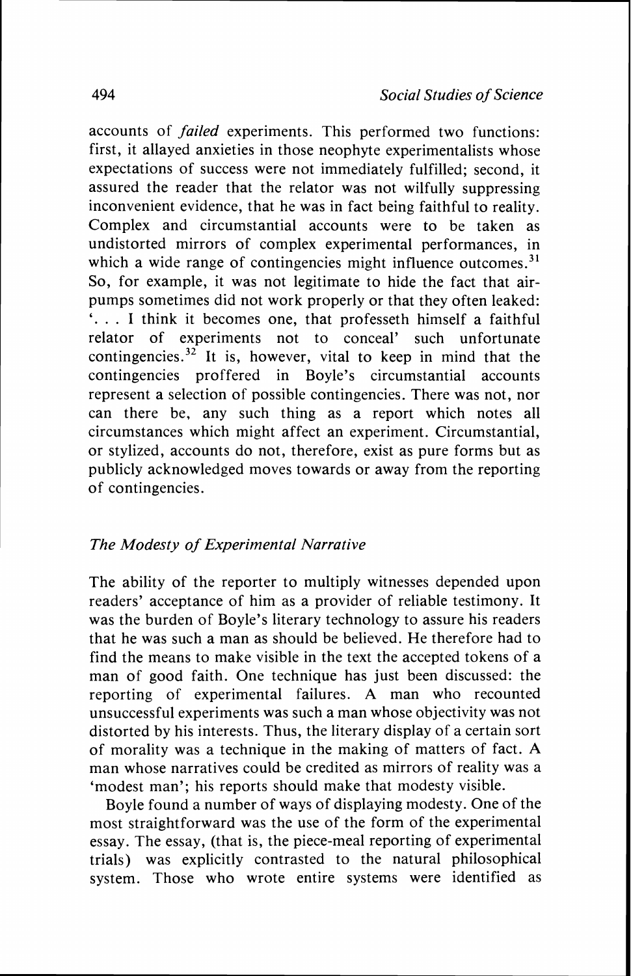accounts of *failed* experiments. This performed two functions: first, it allayed anxieties in those neophyte experimentalists whose expectations of success were not immediately fulfilled; second, it assured the reader that the relator was not wilfully suppressing inconvenient evidence, that he was in fact being faithful to reality. Complex and circumstantial accounts were to be taken as undistorted mirrors of complex experimental performances, in which a wide range of contingencies might influence outcomes. $^{31}$ So, for example, it was not legitimate to hide the fact that airpumps sometimes did not work properly or that they often leaked: '. . . I think it becomes one, that professeth himself a faithful relator of experiments not to conceal' such unfortunate contingencies.<sup>32</sup> It is, however, vital to keep in mind that the contingencies proffered in Boyle's circumstantial accounts represent a selection of possible contingencies. There was not, nor can there be, any such thing as a report which notes all circumstances which might affect an experiment. Circumstantial, or stylized, accounts do not, therefore, exist as pure forms but as publicly acknowledged moves towards or away from the reporting of contingencies.

## *The Modesty of Experimental Narrative*

The ability of the reporter to multiply witnesses depended upon readers' acceptance of him as a provider of reliable testimony. It was the burden of Boyle's literary technology to assure his readers that he was such a man as should be believed. He therefore had to find the means to make visible in the text the accepted tokens of a man of good faith. One technique has just been discussed: the reporting of experimental failures. A man who recounted unsuccessful experiments was such a man whose objectivity was not distorted by his interests. Thus, the literary display of a certain sort of morality was a technique in the making of matters of fact. A man whose narratives could be credited as mirrors of reality was a 'modest man'; his reports should make that modesty visible.

Boyle found a number of ways of displaying modesty. One of the most straightforward was the use of the form of the experimental essay. The essay, (that is, the piece-meal reporting of experimental trials) was explicitly contrasted to the natural philosophical system. Those who wrote entire systems were identified as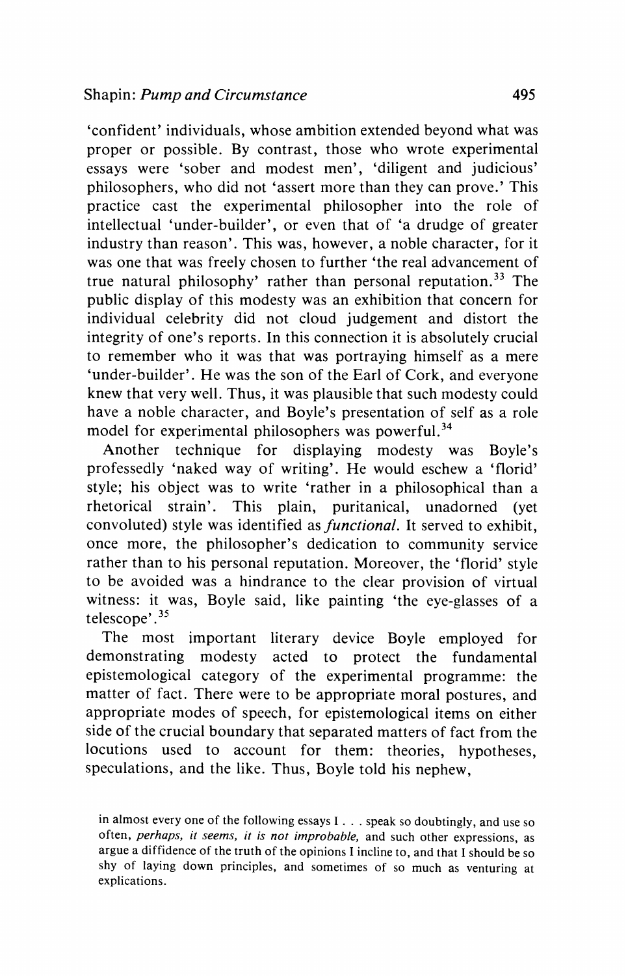'confident' individuals, whose ambition extended beyond what was proper or possible. By contrast, those who wrote experimental essays were 'sober and modest men', 'diligent and judicious' philosophers, who did not 'assert more than they can prove.' This practice cast the experimental philosopher into the role of intellectual 'under-builder', or even that of 'a drudge of greater industry than reason'. This was, however, a noble character, for it was one that was freely chosen to further 'the real advancement of true natural philosophy' rather than personal reputation.<sup>33</sup> The public display of this modesty was an exhibition that concern for individual celebrity did not cloud judgement and distort the integrity of one's reports. In this connection it is absolutely crucial to remember who it was that was portraying himself as a mere 'under-builder'. He was the son of the Earl of Cork, and everyone knew that very well. Thus, it was plausible that such modesty could have a noble character, and Boyle's presentation of self as a role model for experimental philosophers was powerful.<sup>34</sup>

Another technique for displaying modesty was Boyle's professedly 'naked way of writing'. He would eschew a 'florid' style; his object was to write 'rather in a philosophical than a rhetorical strain'. This plain, puritanical, unadorned (yet convoluted) style was identified as *functional.* It served to exhibit, once more, the philosopher's dedication to community service rather than to his personal reputation. Moreover, the 'florid' style to be avoided was a hindrance to the clear provision of virtual witness: it was, Boyle said, like painting 'the eye-glasses of a telescope' *.35* 

The most important literary device Boyle employed for demonstrating modesty acted to protect the fundamental epistemological category of the experimental programme: the matter of fact. There were to be appropriate moral postures, and appropriate modes of speech, for epistemological items on either side of the crucial boundary that separated matters of fact from the locutions used to account for them: theories, hypotheses, speculations, and the like. Thus, Boyle told his nephew,

in almost every one of the following essays 1 . . . speak so doubtingly, and use so often, *perhaps, it seems, it is not improbable,* and such other expressions, as argue a diffidence of the truth of the opinions I incline to, and that I should be so shy of laying down principles, and sometimes of so much as venturing at explications.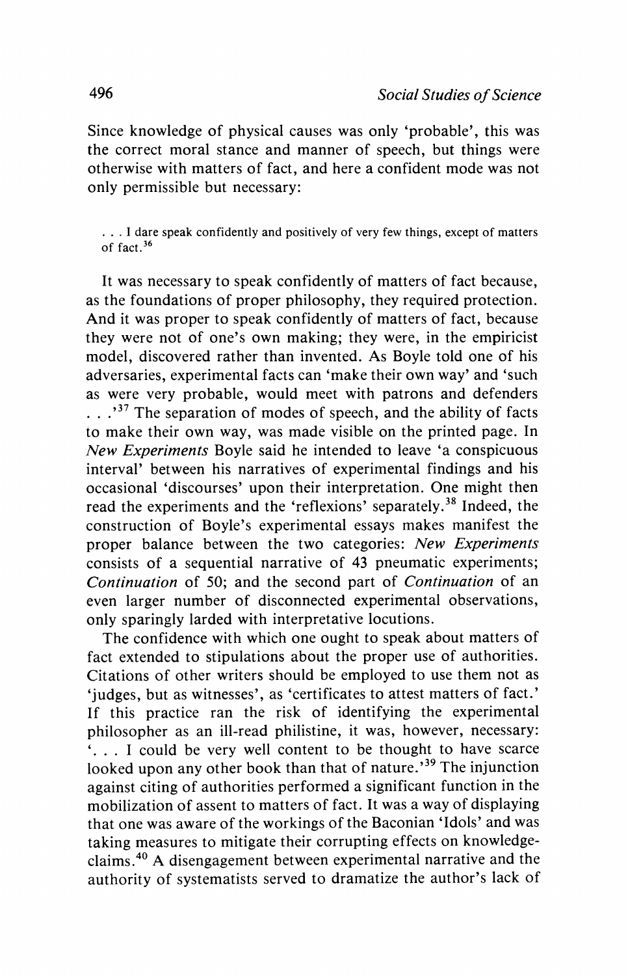Since knowledge of physical causes was only 'probable', this was the correct moral stance and manner of speech, but things were otherwise with matters of fact, and here a confident mode was not only permissible but necessary:

. . . I dare speak confidently and positively of very few things, except of matters of fact.<sup>36</sup>

It was necessary to speak confidently of matters of fact because, as the foundations of proper philosophy, they required protection. And it was proper to speak confidently of matters of fact, because they were not of one's own making; they were, in the empiricist model, discovered rather than invented. As Boyle told one of his adversaries, experimental facts can 'make their own way' and 'such as were very probable, would meet with patrons and defenders  $\ldots$  .  $\cdot$  .<sup>37</sup> The separation of modes of speech, and the ability of facts to make their own way, was made visible on the printed page. In *New Experiments* Boyle said he intended to leave 'a conspicuous interval' between his narratives of experimental findings and his occasional 'discourses' upon their interpretation. One might then read the experiments and the 'reflexions' separately.<sup>38</sup> Indeed, the construction of Boyle's experimental essays makes manifest the proper balance between the two categories: *New Experiments*  consists of a sequential narrative of **43** pneumatic experiments; *Continuation* of 50; and the second part of *Continuation* of an even larger number of disconnected experimental observations, only sparingly larded with interpretative locutions.

The confidence with which one ought to speak about matters of fact extended to stipulations about the proper use of authorities. Citations of other writers should be employed to use them not as 'judges, but as witnesses', as 'certificates to attest matters of fact.' If this practice ran the risk of identifying the experimental philosopher as an ill-read philistine, it was, however, necessary:  $\cdot$ ... I could be very well content to be thought to have scarce looked upon any other book than that of nature.'<sup>39</sup> The injunction against citing of authorities performed a significant function in the mobilization of assent to matters of fact. It was a way of displaying that one was aware of the workings of the Baconian 'Idols' and was taking measures to mitigate their corrupting effects on knowledgeclaims.40 A disengagement between experimental narrative and the authority of systematists served to dramatize the author's lack of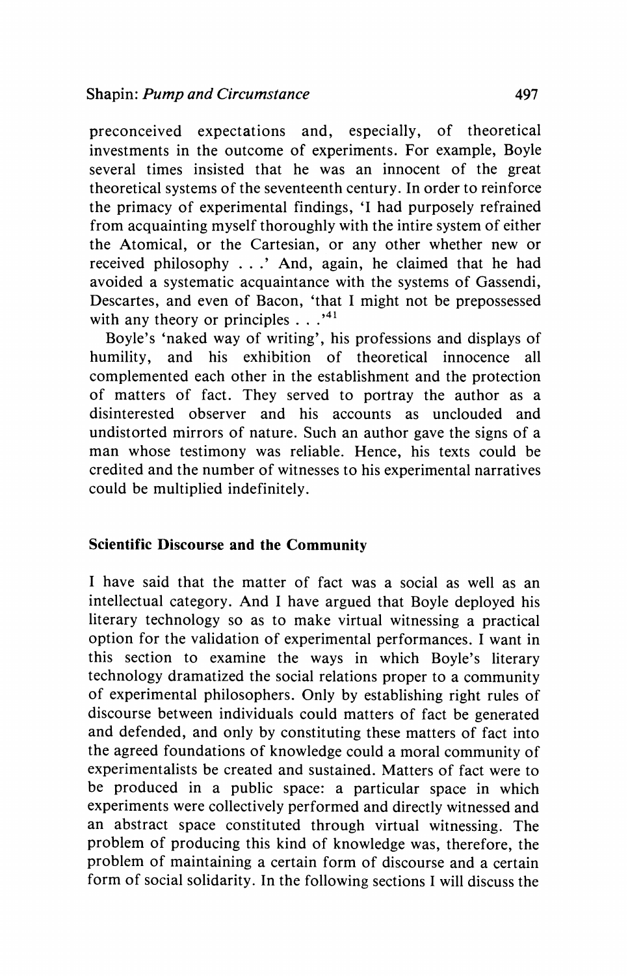preconceived expectations and, especially, of theoretical investments in the outcome of experiments. For example, Boyle several times insisted that he was an innocent of the great theoretical systems of the seventeenth century. In order to reinforce the primacy of experimental findings, 'I had purposely refrained from acquainting myself thoroughly with the intire system of either the Atomical, or the Cartesian, or any other whether new or received philosophy . . .' And, again, he claimed that he had avoided a systematic acquaintance with the systems of Gassendi, Descartes, and even of Bacon, 'that I might not be prepossessed with any theory or principles . . .<sup>41</sup>

Boyle's 'naked way of writing', his professions and displays of humility, and his exhibition of theoretical innocence all complemented each other in the establishment and the protection of matters of fact. They served to portray the author as a disinterested observer and his accounts as unclouded and undistorted mirrors of nature. Such an author gave the signs of a man whose testimony was reliable. Hence, his texts could be credited and the number of witnesses to his experimental narratives could be multiplied indefinitely.

### **Scientific Discourse and the Community**

I have said that the matter of fact was a social as well as an intellectual category. And I have argued that Boyle deployed his literary technology so as to make virtual witnessing a practical option for the validation of experimental performances. I want in this section to examine the ways in which Boyle's literary technology dramatized the social relations proper to a community of experimental philosophers. Only by establishing right rules of discourse between individuals could matters of fact be generated and defended, and only by constituting these matters of fact into the agreed foundations of knowledge could a moral community of experimentalists be created and sustained. Matters of fact were to be produced in a public space: a particular space in which experiments were collectively performed and directly witnessed and an abstract space constituted through virtual witnessing. The problem of producing this kind of knowledge was, therefore, the problem of maintaining a certain form of discourse and a certain form of social solidarity. In the following sections I will discuss the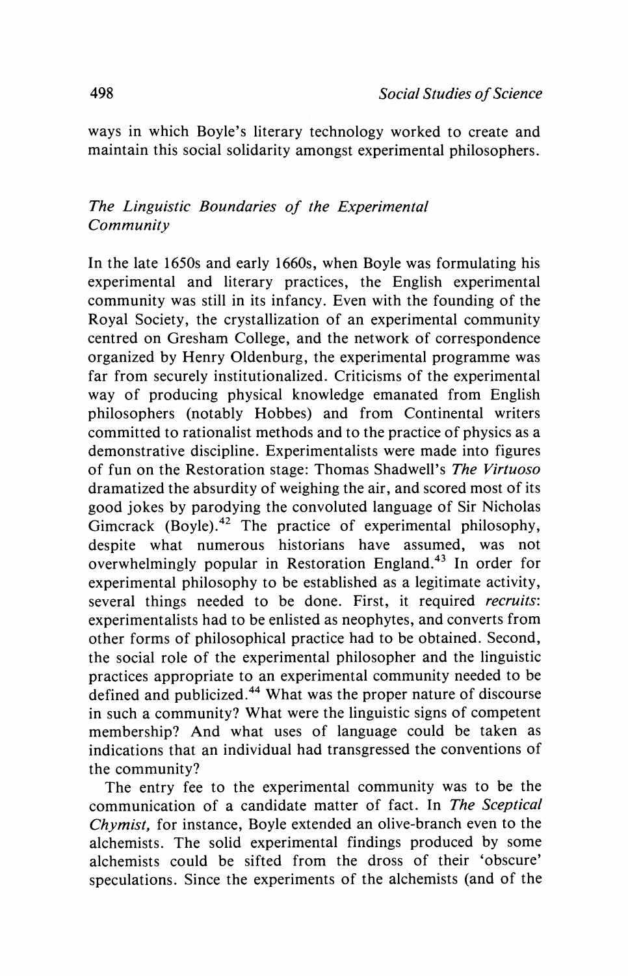ways in which Boyle's literary technology worked to create and maintain this social solidarity amongst experimental philosophers.

## *The Linguistic Boundaries of the Experimental Community*

In the late 1650s and early 1660s, when Boyle was formulating his experimental and literary practices, the English experimental community was still in its infancy. Even with the founding of the Royal Society, the crystallization of an experimental community centred on Gresham College, and the network of correspondence organized by Henry Oldenburg, the experimental programme was far from securely institutionalized. Criticisms of the experimental way of producing physical knowledge emanated from English philosophers (notably Hobbes) and from Continental writers committed to rationalist methods and to the practice of physics as a demonstrative discipline. Experimentalists were made into figures of fun on the Restoration stage: Thomas Shadwell's *The Virtuoso*  dramatized the absurdity of weighing the air, and scored most of its good jokes by parodying the convoluted language of Sir Nicholas Gimcrack (Boyle). $42$  The practice of experimental philosophy, despite what numerous historians have assumed, was not overwhelmingly popular in Restoration England.<sup>43</sup> In order for experimental philosophy to be established as a legitimate activity, several things needed to be done. First, it required *recruits:*  experimentalists had to be enlisted as neophytes, and converts from other forms of philosophical practice had to be obtained. Second, the social role of the experimental philosopher and the linguistic practices appropriate to an experimental community needed to be defined and publicized.<sup>44</sup> What was the proper nature of discourse in such a community? What were the linguistic signs of competent membership? And what uses of language could be taken as indications that an individual had transgressed the conventions of the community?

The entry fee to the experimental community was to be the communication of a candidate matter of fact. In *The Sceptical Chymist,* for instance, Boyle extended an olive-branch even to the alchemists. The solid experimental findings produced by some alchemists could be sifted from the dross of their 'obscure' speculations. Since the experiments of the alchemists (and of the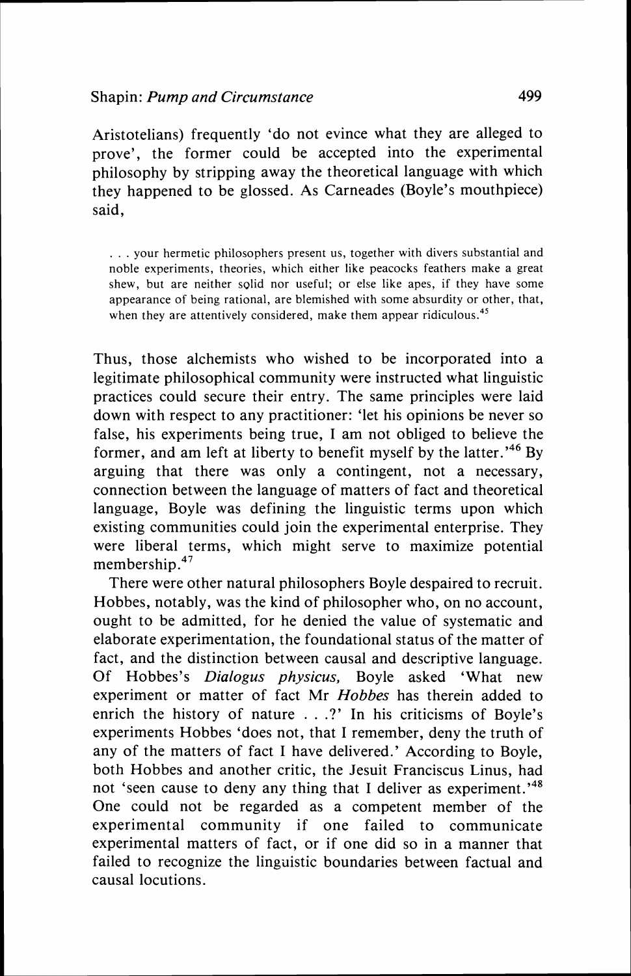Aristotelians) frequently 'do not evince what they are alleged to prove', the former could be accepted into the experimental philosophy by stripping away the theoretical language with which they happened to be glossed. As Carneades (Boyle's mouthpiece) said,

. . . your hermetic philosophers present us, together with divers substantial and noble experiments, theories, which either like peacocks feathers make a great shew, but are neither solid nor useful; or else like apes, if they have some appearance of being rational, are blemished with some absurdity or other, that, when they are attentively considered, make them appear ridiculous.<sup>45</sup>

Thus, those alchemists who wished to be incorporated into a legitimate philosophical community were instructed what linguistic practices could secure their entry. The same principles were laid down with respect to any practitioner: 'let his opinions be never so false, his experiments being true, I am not obliged to believe the former, and am left at liberty to benefit myself by the latter.'46 By arguing that there was only a contingent, not a necessary, connection between the language of matters of fact and theoretical language, Boyle was defining the linguistic terms upon which existing communities could join the experimental enterprise. They were liberal terms, which might serve to maximize potential membership. $47$ 

There were other natural philosophers Boyle despaired to recruit. Hobbes, notably, was the kind of philosopher who, on no account, ought to be admitted, for he denied the value of systematic and elaborate experimentation, the foundational status of the matter of fact, and the distinction between causal and descriptive language. Of Hobbes's *Dialogus physicus,* Boyle asked 'What new experiment or matter of fact Mr *Hobbes* has therein added to enrich the history of nature . . .?' In his criticisms of Boyle's experiments Hobbes 'does not, that I remember, deny the truth of any of the matters of fact I have delivered.' According to Boyle, both Hobbes and another critic, the Jesuit Franciscus Linus, had not 'seen cause to deny any thing that I deliver as experiment.<sup> $48$ </sup> One could not be regarded as a competent member of the experimental community if one failed to communicate experimental matters of fact, or if one did so in a manner that failed to recognize the linguistic boundaries between factual and causal locutions.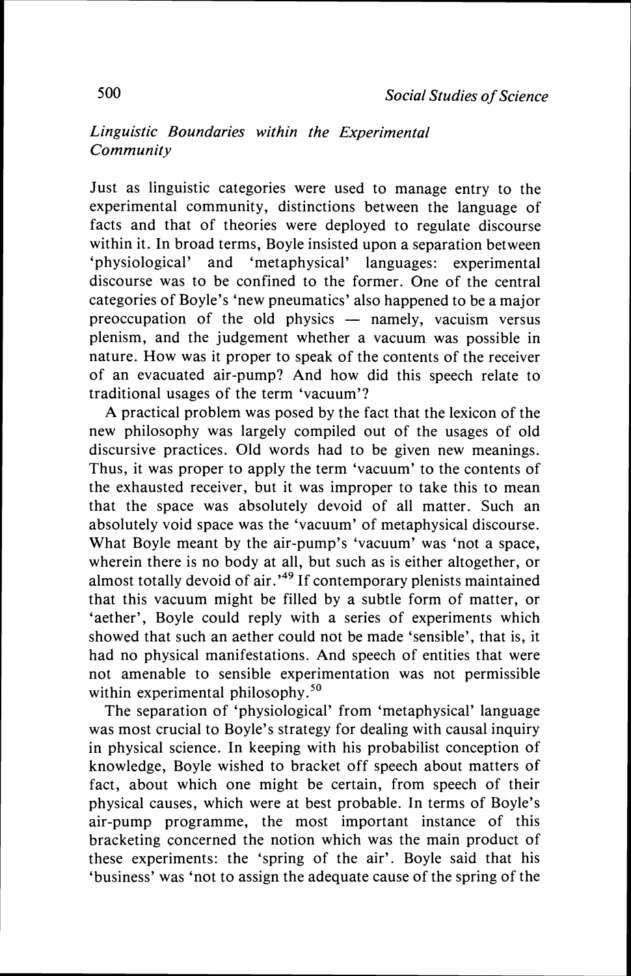## *Linguistic Boundaries within the Experimental Community*

Just as linguistic categories were used to manage entry to the experimental community, distinctions between the language of facts and that of theories were deployed to regulate discourse within it. In broad terms, Boyle insisted upon a separation between 'physiological' and 'metaphysical' languages: experimental discourse was to be confined to the former. One of the central examples of Boyle's 'new pneumatics' also happened to be a major preoccupation of the old physics - namely, vacuism versus plenism, and the judgement whether a vacuum was possible in nature. How was it proper to speak of the contents of the receiver of an evacuated air-pump? And how did this speech relate to traditional usages of the term 'vacuum'?

A practical problem was posed by the fact that the lexicon of the new philosophy was largely compiled out of the usages of old discursive practices. Old words had to be given new meanings. Thus, it was proper to apply the term 'vacuum' to the contents of the exhausted receiver, but it was improper to take this to mean that the space was absolutely devoid of all matter. Such an absolutely void space was the 'vacuum' of metaphysical discourse. What Boyle meant by the air-pump's 'vacuum' was 'not a space, wherein there is no body at all, but such as is either altogether, or almost totally devoid of air.'49 If contemporary plenists maintained that this vacuum might be filled by a subtle form of matter, or 'aether', Boyle could reply with a series of experiments which showed that such an aether could not be made 'sensible', that is, it had no physical manifestations. And speech of entities that were not amenable to sensible experimentation was not permissible within experimental philosophy.<sup>50</sup>

The separation of 'physiological' from 'metaphysical' language was most crucial to Boyle's strategy for dealing with causal inquiry in physical science. In keeping with his probabilist conception of knowledge, Boyle wished to bracket off speech about matters of fact, about which one might be certain, from speech of their physical causes, which were at best probable. In terms of Boyle's air-pump programme, the most important instance of this bracketing concerned the notion which was the main product of these experiments: the 'spring of the air'. Boyle said that his 'business' was 'not to assign the adequate cause of the spring of the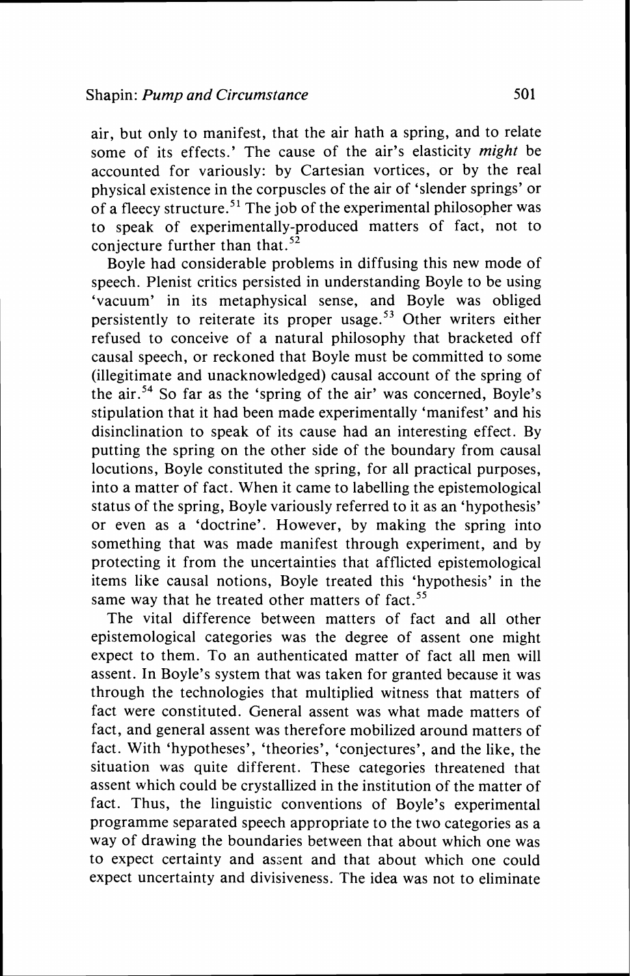air, but only to manifest, that the air hath a spring, and to relate some of its effects.' The cause of the air's elasticity *might* be accounted for variously: by Cartesian vortices, or by the real physical existence in the corpuscles of the air of 'slender springs' or of a fleecy structure.<sup>51</sup> The job of the experimental philosopher was to speak of experimentally-produced matters of fact, not to conjecture further than that.<sup>52</sup>

Boyle had considerable problems in diffusing this new mode of speech. Plenist critics persisted in understanding Boyle to be using 'vacuum' in its metaphysical sense, and Boyle was obliged persistently to reiterate its proper usage.<sup>53</sup> Other writers either refused to conceive of a natural philosophy that bracketed off causal speech, or reckoned that Boyle must be committed to some (illegitimate and unacknowledged) causal account of the spring of the air.<sup>54</sup> So far as the 'spring of the air' was concerned, Boyle's stipulation that it had been made experimentally 'manifest' and his disinclination to speak of its cause had an interesting effect. By putting the spring on the other side of the boundary from causal locutions, Boyle constituted the spring, for all practical purposes, into a matter of fact. When it came to labelling the epistemological status of the spring, Boyle variously referred to it as an 'hypothesis' or even as a 'doctrine'. However, by making the spring into something that was made manifest through experiment, and by protecting it from the uncertainties that afflicted epistemological items like causal notions, Boyle treated this 'hypothesis' in the same way that he treated other matters of fact.<sup>55</sup>

The vital difference between matters of fact and all other epistemological categories was the degree of assent one might expect to them. To an authenticated matter of fact all men will assent. In Boyle's system that was taken for granted because it was through the technologies that multiplied witness that matters of fact were constituted. General assent was what made matters of fact, and general assent was therefore mobilized around matters of fact. With 'hypotheses', 'theories', 'conjectures', and the like, the situation was quite different. These categories threatened that assent which could be crystallized in the institution of the matter of fact. Thus, the linguistic conventions of Boyle's experimental programme separated speech appropriate to the two categories as a way of drawing the boundaries between that about which one was to expect certainty and assent and that about which one could expect uncertainty and divisiveness. The idea was not to eliminate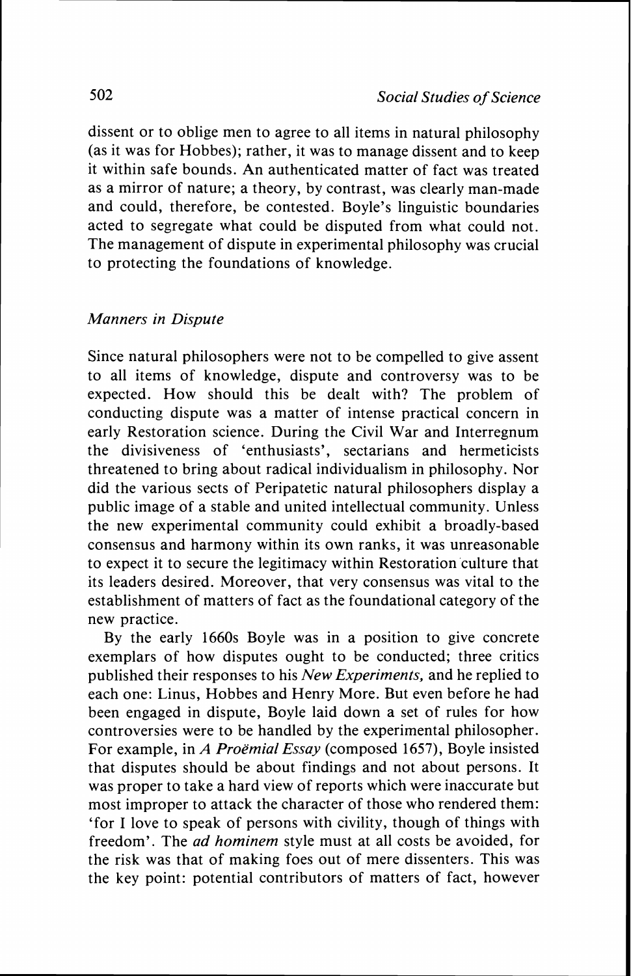dissent or to oblige men to agree to all items in natural philosophy (as it was for Hobbes); rather, it was to manage dissent and to keep it within safe bounds. An authenticated matter of fact was treated as a mirror of nature; a theory, by contrast, was clearly man-made and could, therefore, be contested. Boyle's linguistic boundaries acted to segregate what could be disputed from what could not. The management of dispute in experimental philosophy was crucial to protecting the foundations of knowledge.

## *Manners in Dispute*

Since natural philosophers were not to be compelled to give assent to all items of knowledge, dispute and controversy was to be expected. How should this be dealt with? The problem of conducting dispute was a matter of intense practical concern in early Restoration science. During the Civil War and Interregnum the divisiveness of 'enthusiasts', sectarians and hermeticists threatened to bring about radical individualism in philosophy. Nor did the various sects of Peripatetic natural philosophers display a public image of a stable and united intellectual community. Unless the new experimental community could exhibit a broadly-based consensus and harmony within its own ranks, it was unreasonable to expect it to secure the legitimacy within Restoration culture that its leaders desired. Moreover, that very consensus was vital to the establishment of matters of fact as the foundational category of the new practice.

By the early 1660s Boyle was in a position to give concrete exemplars of how disputes ought to be conducted; three critics published their responses to his *New Experiments,* and he replied to each one: Linus, Hobbes and Henry More. But even before he had been engaged in dispute, Boyle laid down a set of rules for how controversies were to be handled by the experimental philosopher. For example, in *A Proëmial Essay* (composed 1657), Boyle insisted that disputes should be about findings and not about persons. It was proper to take a hard view of reports which were inaccurate but most improper to attack the character of those who rendered them: 'for I love to speak of persons with civility, though of things with freedom'. The *ad hominem* style must at all costs be avoided, for the risk was that of making foes out of mere dissenters. This was the key point: potential contributors of matters of fact, however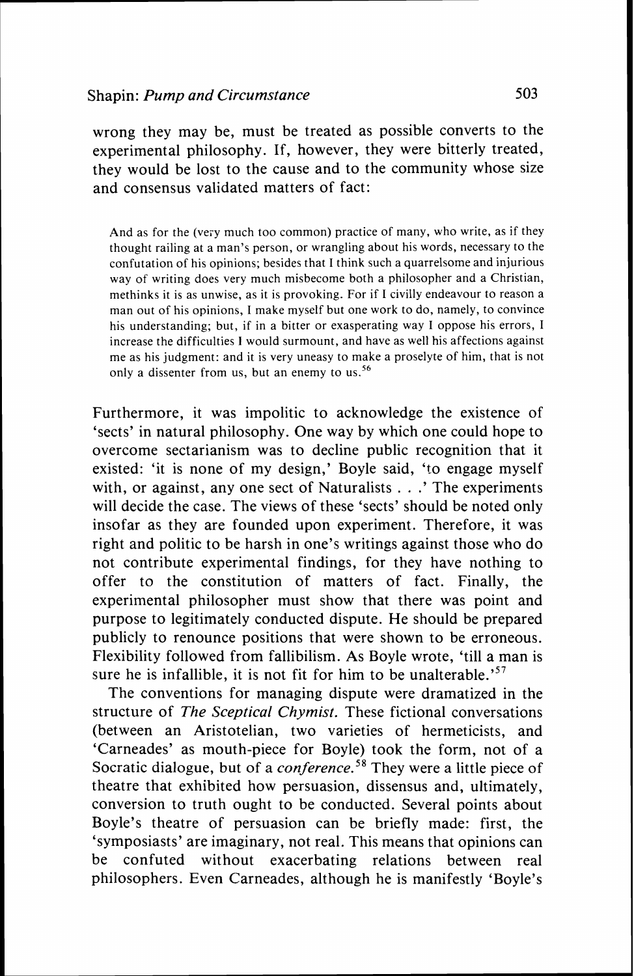wrong they may be, must be treated as possible converts to the experimental philosophy. If, however, they were bitterly treated, they would be lost to the cause and to the community whose size and consensus validated matters of fact:

And as for the (very much too common) practice of many, who write, as if they thought railing at a man's person. or wrangling about his words, necessary to the confutation of his opinions; besides that I think such a quarrelsome and injurious way of writing does very much misbecome both a philosopher and a Christian, methinks it is as unwise, as it is provoking. For if I civilly endeavour to reason a man out of his opinions, I make myself but one work to do, namely, to convince his understanding; but, if in a bitter or exasperating way I oppose his errors, I increase the difficulties I would surmount, and have as well his affections against me as his judgment: and it is very uneasy to make a proselyte of him, that is not only a dissenter from us, but an enemy to us.<sup>56</sup>

Furthermore, it was impolitic to acknowledge the existence of 'sects' in natural philosophy. One way by which one could hope to overcome sectarianism was to decline public recognition that it existed: 'it is none of my design,' Boyle said, 'to engage myself with, or against, any one sect of Naturalists . . .' The experiments will decide the case. The views of these 'sects' should be noted only insofar as they are founded upon experiment. Therefore, it was right and politic to be harsh in one's writings against those who do not contribute experimental findings, for they have nothing to offer to the constitution of matters of fact. Finally, the experimental philosopher must show that there was point and purpose to legitimately conducted dispute. He should be prepared publicly to renounce positions that were shown to be erroneous. Flexibility followed from fallibilism. As Boyle wrote, 'till a man is sure he is infallible, it is not fit for him to be unalterable.<sup>57</sup>

The conventions for managing dispute were dramatized in the structure of *The Sceptical Chymist.* These fictional conversations (between an Aristotelian, two varieties of hermeticists, and 'Carneades' as mouth-piece for Boyle) took the form, not of a Socratic dialogue, but of a *conference*.<sup>58</sup> They were a little piece of theatre that exhibited how persuasion, dissensus and, ultimately, conversion to truth ought to be conducted. Several points about Boyle's theatre of persuasion can be briefly made: first, the 'symposiasts' are imaginary, not real. This means that opinions can be confuted without exacerbating relations between real philosophers. Even Carneades, although he is manifestly 'Boyle's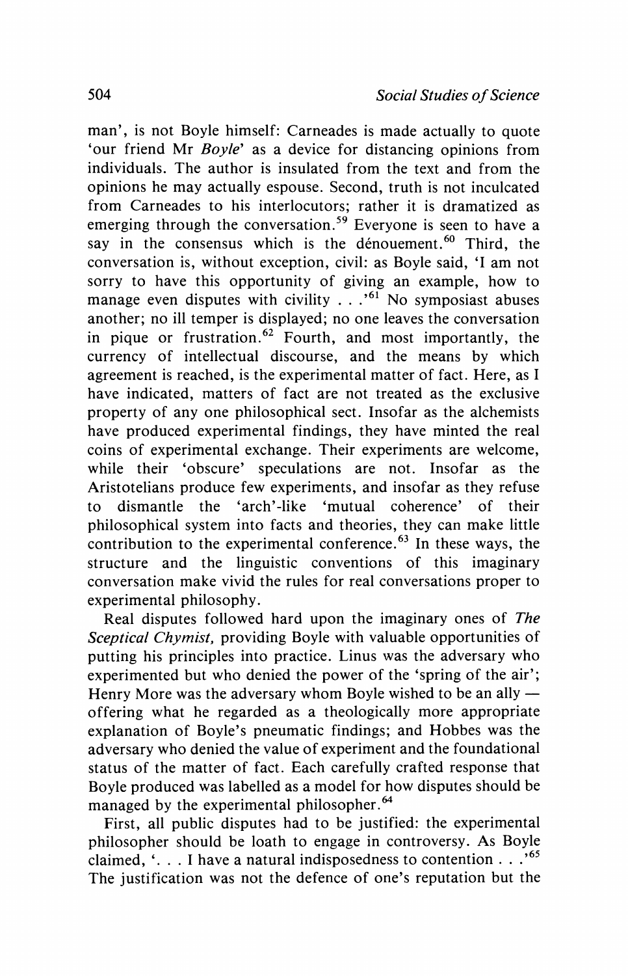man', is not Boyle himself: Carneades is made actually to quote 'our friend Mr *Boyle'* as a device for distancing opinions from individuals. The author is insulated from the text and from the opinions he may actually espouse. Second, truth is not inculcated from Carneades to his interlocutors; rather it is dramatized as emerging through the conversation.<sup>59</sup> Everyone is seen to have a say in the consensus which is the dénouement. $^{60}$  Third, the conversation is, without exception, civil: as Boyle said, 'I am not sorry to have this opportunity of giving an example, how to manage even disputes with civility  $\ldots$ <sup>61</sup> No symposiast abuses another; no ill temper is displayed; no one leaves the conversation in pique or frustration. $^{62}$  Fourth, and most importantly, the currency of intellectual discourse, and the means by which agreement is reached, is the experimental matter of fact. Here, as I have indicated, matters of fact are not treated as the exclusive property of any one philosophical sect. Insofar as the alchemists have produced experimental findings, they have minted the real coins of experimental exchange. Their experiments are welcome, while their 'obscure' speculations are not. Insofar as the Aristotelians produce few experiments, and insofar as they refuse to dismantle the 'arch'-like 'mutual coherence' of their philosophical system into facts and theories, they can make little contribution to the experimental conference. $^{63}$  In these ways, the structure and the linguistic conventions of this imaginary conversation make vivid the rules for real conversations proper to experimental philosophy.

Real disputes followed hard upon the imaginary ones of *The Sceptical Chymist,* providing Boyle with valuable opportunities of putting his principles into practice. Linus was the adversary who putting ins principles into practice. Emas was the adversary who<br>experimented but who denied the power of the 'spring of the air';<br>Henry More was the adversary whom Boyle wished to be an ally offering what he regarded as a theologically more appropriate explanation of Boyle's pneumatic findings; and Hobbes was the adversary who denied the value of experiment and the foundational status of the matter of fact. Each carefully crafted response that Boyle produced was labelled as a model for how disputes should be managed by the experimental philosopher.<sup>64</sup>

First, all public disputes had to be justified: the experimental philosopher should be loath to engage in controversy. As Boyle claimed, '. . . I have a natural indisposedness to contention . . .'65 The justification was not the defence of one's reputation but the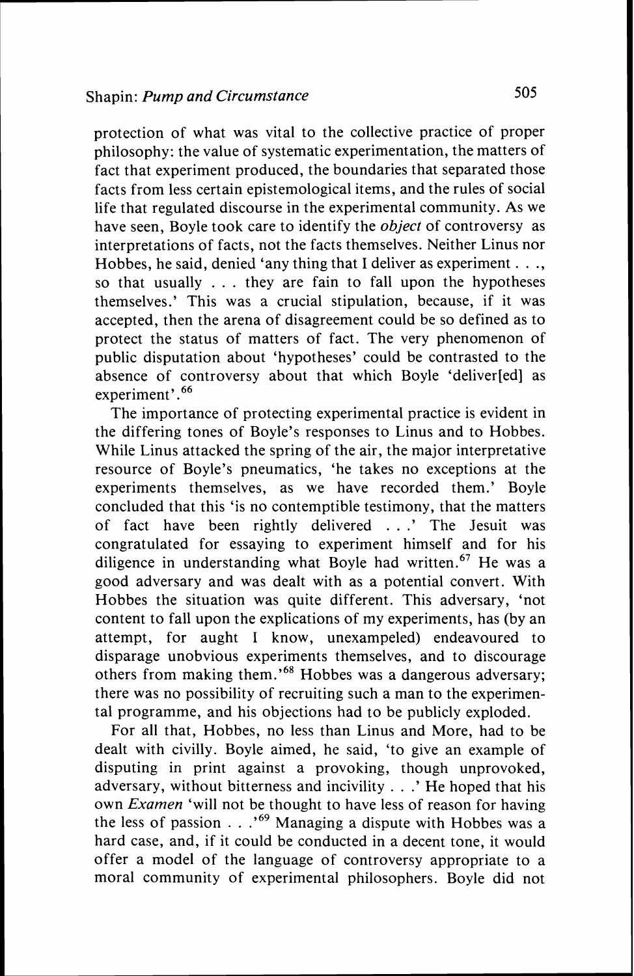protection of what was vital to the collective practice of proper philosophy: the value of systematic experimentation, the matters of fact that experiment produced, the boundaries that separated those facts from less certain epistemological items, and the rules of social life that regulated discourse in the experimental community. As we have seen. Boyle took care to identify the *object* of controversy as interpretations of facts, not the facts themselves. Neither Linus nor Hobbes, he said, denied 'any thing that I deliver as experiment . . ., so that usually . . . they are fain to fall upon the hypotheses themselves.' This was a crucial stipulation, because, if it was accepted, then the arena of disagreement could be so defined as to protect the status of matters of fact. The very phenomenon of public disputation about 'hypotheses' could be contrasted to the absence of controversy about that which Boyle 'deliver[ed] as experiment' **.66** 

The importance of protecting experimental practice is evident in the differing tones of Boyle's responses to Linus and to Hobbes. While Linus attacked the spring of the air, the major interpretative resource of Boyle's pneumatics, 'he takes no exceptions at the experiments themselves, as we have recorded them.' Boyle concluded that this 'is no contemptible testimony, that the matters of fact have been rightly delivered . . .' The Jesuit was congratulated for essaying to experiment himself and for his diligence in understanding what Boyle had written.<sup>67</sup> He was a good adversary and was dealt with as a potential convert. With Hobbes the situation was quite different. This adversary, 'not content to fall upon the explications of my experiments, has (by an attempt, for aught I know, unexampeled) endeavoured to disparage unobvious experiments themselves, and to discourage others from making them.'68 Hobbes was a dangerous adversary; there was no possibility of recruiting such a man to the experimental programme, and his objections had to be publicly exploded.

For all that, Hobbes, no less than Linus and More, had to be dealt with civilly. Boyle aimed, he said, 'to give an example of disputing in print against a provoking, though unprovoked, adversary, without bitterness and incivility . . .' He hoped that his own *Exarnen* 'will not be thought to have less of reason for having the less of passion  $\ldots$ <sup>69</sup> Managing a dispute with Hobbes was a hard case, and, if it could be conducted in a decent tone, it would offer a model of the language of controversy appropriate to a moral community of experimental philosophers. Boyle did not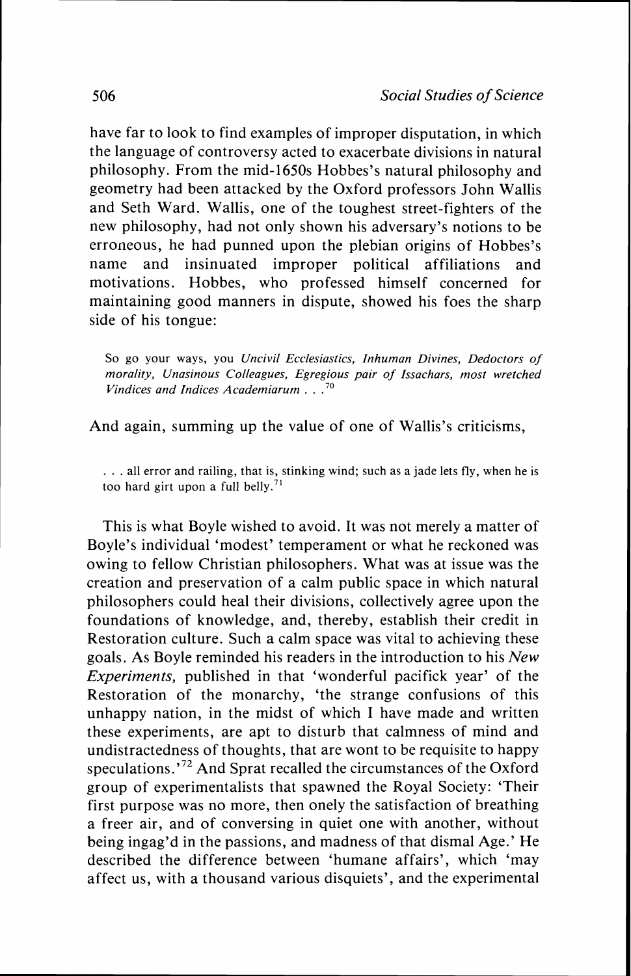have far to look to find examples of improper disputation, in which the language of controversy acted to exacerbate divisions in natural philosophy. From the mid-1650s Hobbes's natural philosophy and geometry had been attacked by the Oxford professors John Wallis and Seth Ward. Wallis, one of the toughest street-fighters of the new philosophy, had not only shown his adversary's notions to be erroneous, he had punned upon the plebian origins of Hobbes's name and insinuated improper political affiliations and motivations. Hobbes, who professed himself concerned for maintaining good manners in dispute, showed his foes the sharp side of his tongue:

So go your ways, you *Uncivil Ecclesiastics, Inhuman Divines, Dedoctors of morality, Unasinous Colleagues, Egregious pair of Issachars, most wretched Vindices and Indices Academiarum* . . .<sup>70</sup>

And again, summing up the value of one of Wallis's criticisms,

. . . all error and railing, that is, stinking wind; such as a jade lets fly, when he is too hard girt upon a full belly. $71$ 

This is what Boyle wished to avoid. It was not merely a matter of Boyle's individual 'modest' temperament or what he reckoned was owing to fellow Christian philosophers. What was at issue was the creation and preservation of a calm public space in which natural philosophers could heal their divisions, collectively agree upon the foundations of knowledge, and, thereby, establish their credit in Restoration culture. Such a calm space was vital to achieving these goals. As Boyle reminded his readers in the introduction to his *New Experiments,* published in that 'wonderful pacifick year' of the Restoration of the monarchy, 'the strange confusions of this unhappy nation, in the midst of which I have made and written these experiments, are apt to disturb that calmness of mind and undistractedness of thoughts, that are wont to be requisite to happy speculations.<sup>72</sup> And Sprat recalled the circumstances of the Oxford group of experimentalists that spawned the Royal Society: 'Their first purpose was no more, then onely the satisfaction of breathing a freer air, and of conversing in quiet one with another, without being ingag'd in the passions, and madness of that dismal Age.' He described the difference between 'humane affairs', which 'may affect us, with a thousand various disquiets', and the experimental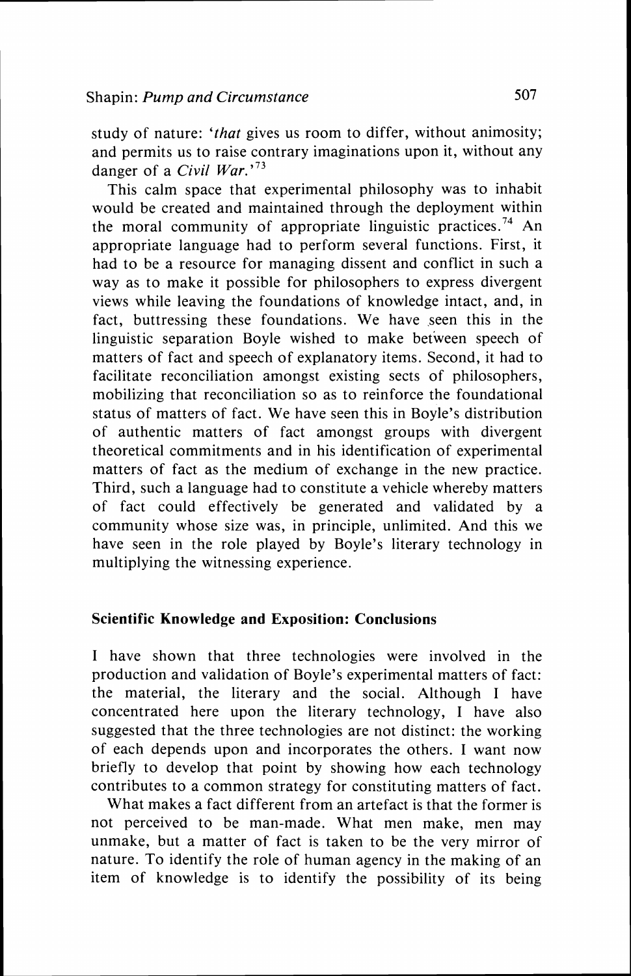study of nature: *'that* gives us room to differ, without animosity; and permits us to raise contrary imaginations upon it, without any danger of a Civil *War.'73* 

This calm space that experimental philosophy was to inhabit would be created and maintained through the deployment within the moral community of appropriate linguistic practices.<sup>74</sup> An appropriate language had to perform several functions. First, it had to be a resource for managing dissent and conflict in such a way as to make it possible for philosophers to express divergent views while leaving the foundations of knowledge intact, and, in fact, buttressing these foundations. We have seen this in the linguistic separation Boyle wished to make between speech of matters of fact and speech of explanatory items. Second, it had to facilitate reconciliation amongst existing sects of philosophers, mobilizing that reconciliation so as to reinforce the foundational status of matters of fact. We have seen this in Boyle's distribution of authentic matters of fact amongst groups with divergent theoretical commitments and in his identification of experimental matters of fact as the medium of exchange in the new practice. Third, such a language had to constitute a vehicle whereby matters of fact could effectively be generated and validated by a community whose size was, in principle, unlimited. And this we have seen in the role played by Boyle's literary technology in multiplying the witnessing experience.

### **Scientific Knowledge and Exposition: Conclusions**

I have shown that three technologies were involved in the production and validation of Boyle's experimental matters of fact: the material, the literary and the social. Although I have concentrated here upon the literary technology, I have also suggested that the three technologies are not distinct: the working of each depends upon and incorporates the others. I want now briefly to develop that point by showing how each technology contributes to a common strategy for constituting matters of fact.

What makes a fact different from an artefact is that the former is not perceived to be man-made. What men make, men may unmake, but a matter of fact is taken to be the very mirror of nature. To identify the role of human agency in the making of an item of knowledge is to identify the possibility of its being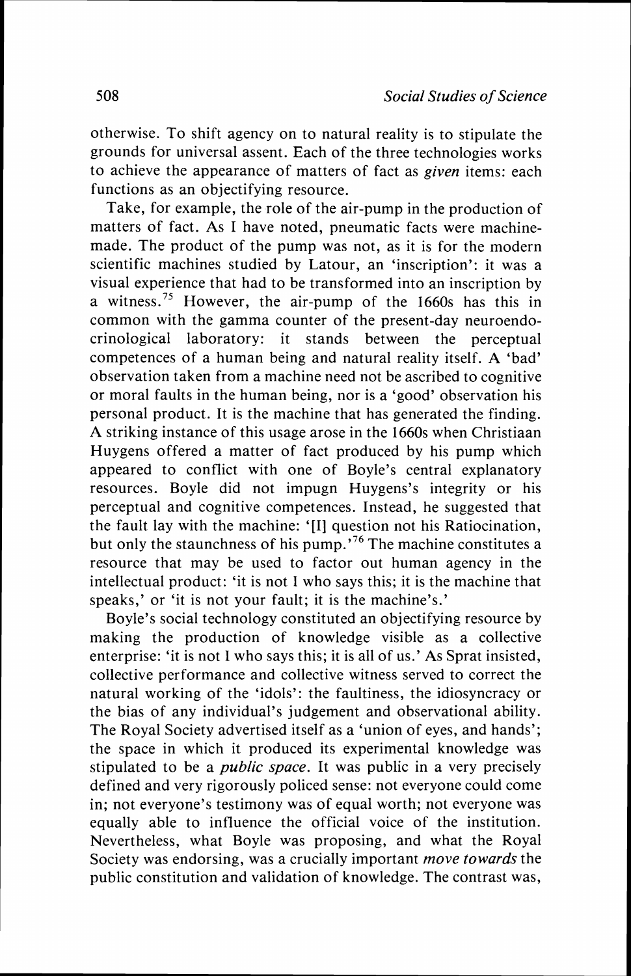otherwise. To shift agency on to natural reality is to stipulate the grounds for universal assent. Each of the three technologies works to achieve the appearance of matters of fact as *given* items: each functions as an objectifying resource.

Take, for example, the role of the air-pump in the production of matters of fact. As I have noted, pneumatic facts were machinemade. The product of the pump was not, as it is for the modern scientific machines studied by Latour, an 'inscription': it was a visual experience that had to be transformed into an inscription by a witness.<sup>75</sup> However, the air-pump of the 1660s has this in common with the gamma counter of the present-day neuroendocrinological laboratory: it stands between the perceptual competences of a human being and natural reality itself. A 'bad' observation taken from a machine need not be ascribed to cognitive or moral faults in the human being, nor is a 'good' observation his personal product. It is the machine that has generated the finding. A striking instance of this usage arose in the 1660s when Christiaan Huygens offered a matter of fact produced by his pump which appeared to conflict with one of Boyle's central explanatory resources. Boyle did not impugn Huygens's integrity or his perceptual and cognitive competences. Instead, he suggested that the fault lay with the machine: '[I] question not his Ratiocination, but only the staunchness of his pump.<sup>76</sup> The machine constitutes a resource that may be used to factor out human agency in the intellectual product: 'it is not 1 who says this: it is the machine that speaks,' or 'it is not your fault; it is the machine's.'

Boyle's social technology constituted an objectifying resource by making the production of knowledge visible as a collective enterprise: 'it is not 1who says this; it is all of us.' As Sprat insisted, collective performance and collective witness served to correct the natural working of the 'idols': the faultiness, the idiosyncracy or the bias of any individual's judgement and observational ability. The Royal Society advertised itself as a 'union of eyes, and hands'; the space in which it produced its experimental knowledge was stipulated to be a *public space.* It was public in a very precisely defined and very rigorously policed sense: not everyone could come in; not everyone's testimony was of equal worth; not everyone was equally able to influence the official voice of the institution. Nevertheless, what Boyle was proposing, and what the Royal Society was endorsing, was a crucially important *move towards* the public constitution and validation of knowledge. The contrast was,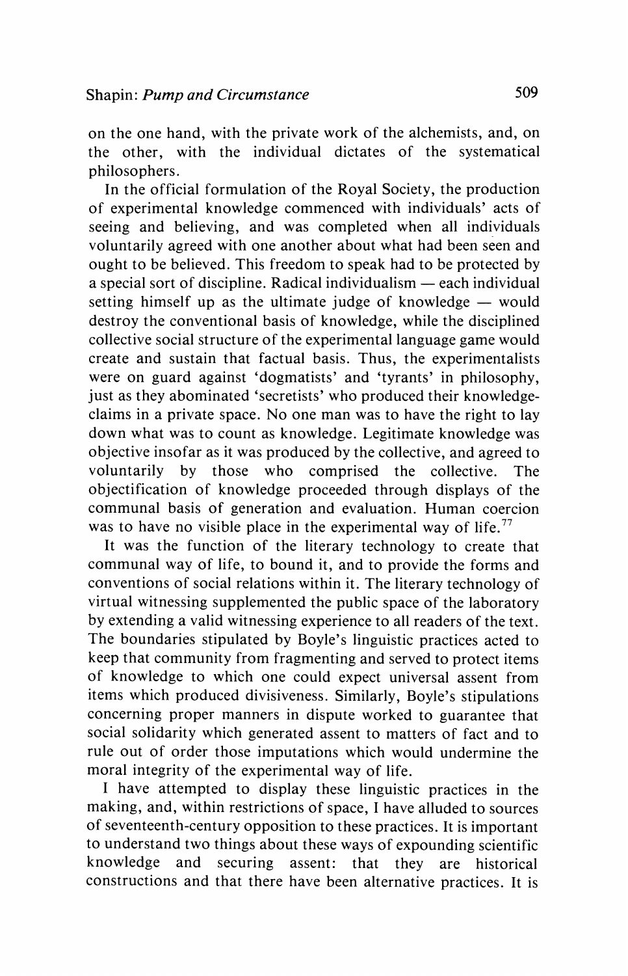on the one hand, with the private work of the alchemists, and, on the other, with the individual dictates of the systematical philosophers.

In the official formulation of the Royal Society, the production of experimental knowledge commenced with individuals' acts of seeing and believing, and was completed when all individuals voluntarily agreed with one another about what had been seen and ought to be believed. This freedom to speak had to be protected by a special sort of discipline. Radical individualism — each individual a special sort of discipline. Radical individualism  $-$  each individual setting himself up as the ultimate judge of knowledge  $-$  would destroy the conventional basis of knowledge, while the disciplined collective social structure of the experimental language game would create and sustain that factual basis. Thus, the experimentalists were on guard against 'dogmatists' and 'tyrants' in philosophy, just as they abominated 'secretists' who produced their knowledgeclaims in a private space. No one man was to have the right to lay down what was to count as knowledge. Legitimate knowledge was objective insofar as it was produced by the collective, and agreed to voluntarily by those who comprised the collective. The objectification of knowledge proceeded through displays of the communal basis of generation and evaluation. Human coercion was to have no visible place in the experimental way of life.<sup>77</sup>

It was the function of the literary technology to create that communal way of life, to bound it, and to provide the forms and conventions of social relations within it. The literary technology of virtual witnessing supplemented the public space of the laboratory by extending a valid witnessing experience to all readers of the text. The boundaries stipulated by Boyle's linguistic practices acted to keep that community from fragmenting and served to protect items of knowledge to which one could expect universal assent from items which produced divisiveness. Similarly, Boyle's stipulations concerning proper manners in dispute worked to guarantee that social solidarity which generated assent to matters of fact and to rule out of order those imputations which would undermine the moral integrity of the experimental way of life.

I have attempted to display these linguistic practices in the making, and, within restrictions of space, I have alluded to sources of seventeenth-century opposition to these practices. It is important to understand two things about these ways of expounding scientific knowledge and securing assent: that they are historical constructions and that there have been alternative practices. It is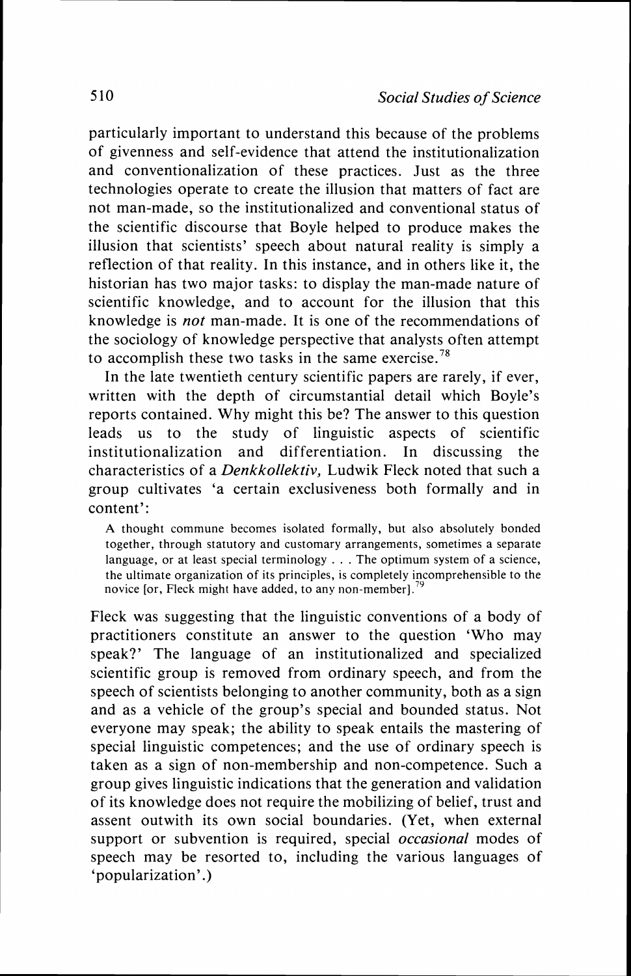particularly important to understand this because of the problems of givenness and self-evidence that attend the institutionalization and conventionalization of these practices. Just as the three technologies operate to create the illusion that matters of fact are not man-made, so the institutionalized and conventional status of the scientific discourse that Boyle helped to produce makes the illusion that scientists' speech about natural reality is simply a reflection of that reality. In this instance, and in others like it, the historian has two major tasks: to display the man-made nature of scientific knowledge, and to account for the illusion that this knowledge is *not* man-made. It is one of the recommendations of the sociology of knowledge perspective that analysts often attempt to accomplish these two tasks in the same exercise.<sup>78</sup>

In the late twentieth century scientific papers are rarely, if ever, written with the depth of circumstantial detail which Boyle's reports contained. Why might this be? The answer to this question leads us to the study of linguistic aspects of scientific institutionalization and differentiation. In discussing the characteristics of a *Denkkollektiv,* Ludwik Fleck noted that such a group cultivates 'a certain exclusiveness both formally and in content':

A thought commune becomes isolated formally, but also absolutely bonded together, through statutory and customary arrangements, sometimes a separate language, or at least special terminology . . . The optimum system of a science, the ultimate organization of its principles, is completely incomprehensible to the novice [or, Fleck might have added, to any non-member].<sup>79</sup>

Fleck was suggesting that the linguistic conventions of a body of practitioners constitute an answer to the question 'Who may speak?' The language of an institutionalized and specialized scientific group is removed from ordinary speech, and from the speech of scientists belonging to another community, both as a sign and as a vehicle of the group's special and bounded status. Not everyone may speak; the ability to speak entails the mastering of special linguistic competences; and the use of ordinary speech is taken as a sign of non-membership and non-competence. Such a group gives linguistic indications that the generation and validation of its knowledge does not require the mobilizing of belief, trust and assent outwith its own social boundaries. (Yet, when external support or subvention is required, special *occasional* modes of speech may be resorted to, including the various languages of 'popularization'.)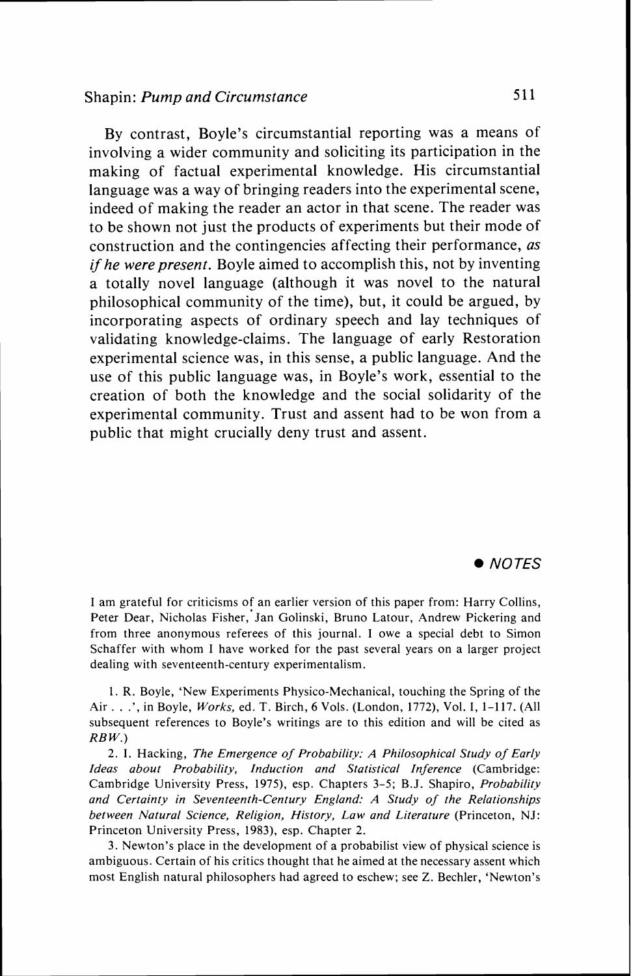### Shapin: *Punzp and Circunzstance* **5** 11

By contrast, Boyle's circumstantial reporting was a means of involving a wider community and soliciting its participation in the making of factual experimental knowledge. His circumstantial language was a way of bringing readers into the experimental scene, indeed of making the reader an actor in that scene. The reader was to be shown not just the products of experiments but their mode of construction and the contingencies affecting their performance, *as if he were present.* Boyle aimed to accomplish this, not by inventing a totally novel language (although it was novel to the natural philosophical community of the time), but, it could be argued, by incorporating aspects of ordinary speech and lay techniques of validating knowledge-claims. The language of early Restoration experimental science was, in this sense, a public language. And the use of this public language was, in Boyle's work, essential to the creation of both the knowledge and the social solidarity of the experimental community. Trust and assent had to be won from a public that might crucially deny trust and assent.

#### $\bullet$  Notes

I am grateful for criticisms of an earlier version of this paper from: Harry Collins, Peter Dear, Nicholas Fisher, Jan Golinski, Bruno Latour, Andrew Pickering and from three anonymous referees of this journal. I owe a special debt to Simon Schaffer with whom I have worked for the past several years on a larger project dealing with seventeenth-century experimentalism.

1. R. Boyle, 'New Experiments Physico-Mechanical, touching the Spring of the Air . . .', in Boyle, *Works,* ed. T. Birch, 6 Vols. (London, 1772), Vol. I, 1-117. (All subsequent references to Boyle's writings are to this edition and will be cited as *RB W.)* 

2. *I.* Hacking, *The Emergence of Probability: A Philosophical Study of Early Ideas about Probability, Induction and Statistical Inference* (Cambridge: Cambridge University Press, 1975), esp. Chapters 3-5; B.J. Shapiro, *Probability*  and Certainty in Seventeenth-Century England: A Study of the Relationships *between Natural Science, Religion, History, Law and Literature* (Princeton, NJ: Princeton University Press, 1983), esp. Chapter 2.

3. Newton's place in the development of a probabilist view of physical science is ambiguous. Certain of his critics thought that he aimed at the necessary assent which most English natural philosophers had agreed to eschew; see Z. Bechler, 'Newton's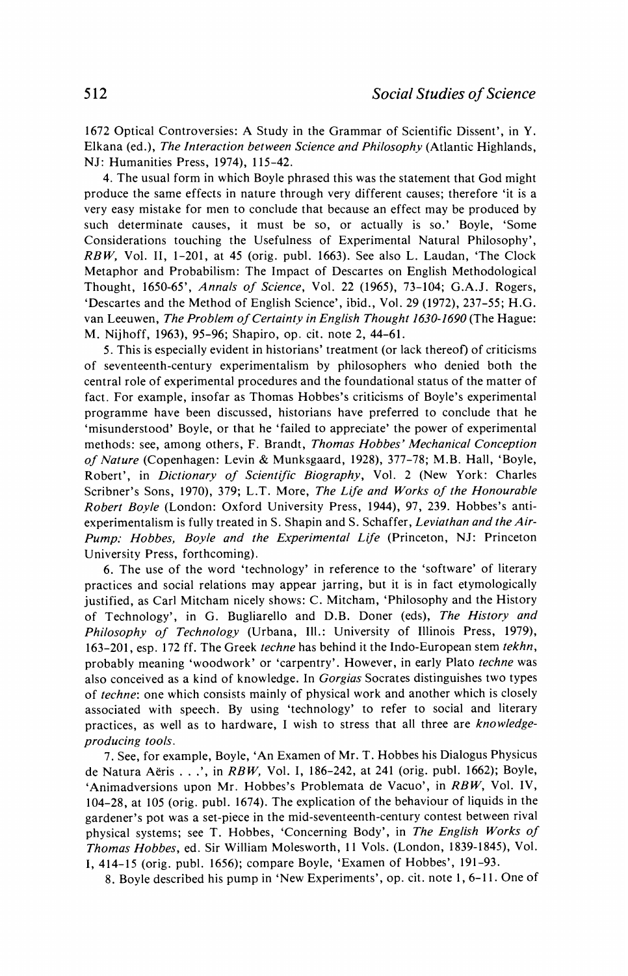1672 Optical Controversies: A Study in the Grammar of Scientific Dissent', in Y. Elkana (ed.), *The Interaction between Science and Philosophy* (Atlantic Highlands, NJ: Humanities Press, 1974), 115-42.

4. The usual form in which Boyle phrased this was the statement that God might produce the same effects in nature through very different causes; therefore 'it is a very easy mistake for men to conclude that because an effect may be produced by such determinate causes, it must be so, or actually is so.' Boyle, 'Some Considerations touching the Usefulness of Experimental Natural Philosophy', *RBW,* Vol. 11, 1-201, at 45 (orig. publ. 1663). See also L. Laudan, 'The Clock Metaphor and Probabilism: The Impact of Descartes on English Methodological Thought, 1650-65', *Annals of Science,* Vol. 22 (1965). 73-104; G.A.J. Rogers, 'Descartes and the Method of English Science', ibid., Vol. 29 (1972), 237-55; H.G. van Leeuwen, *The Problem of Cerrainty in English Thought 1630-1690* (The Hague: M. Nijhoff, 1963), 95-96; Shapiro, op. cit. note 2, 44-61.

5. This is especially evident in historians' treatment (or lack thereof) of criticisms of seventeenth-century experimentalism by philosophers who denied both the central role of experimental procedures and the foundational status of the matter of fact. For example, insofar as Thomas Hobbes's criticisms of Boyle's experimental programme have been discussed, historians have preferred to conclude that he 'misunderstood' Boyle, or that he 'failed to appreciate' the power of experimental methods: see, among others, F. Brandt, *Thornas Hobbes' Mechanical Conception of Nature* (Copenhagen: Levin & Munksgaard, 1928), 377-78; M.B. Hall, 'Boyle, Robert', in *Dictionary of Scientific Biography,* Vol. 2 (New York: Charles Scribner's Sons, 1970), 379; L.T. More, *The Life and Works of the Honourable Robert Boyle* (London: Oxford University Press, 1944), 97, 239. Hobbes's antiexperimentalism is fully treated in S. Shapin and S. Schaffer, *Leviathan and the Air-Pump: Hobbes, Boyle and the Experimenral Life* (Princeton, NJ: Princeton University Press, forthcoming).

6. The use of the word 'technology' in reference to the 'software' of literary practices and social relations may appear jarring, but it is in fact etymologically justified, as Carl Mitcham nicely shows: C. Mitcham, 'Philosophy and the History of Technology', in G. Bugliarello and D.B. Doner (eds), *The Hisrory and Philosophy of Technology* (Urbana, Ill.: University of Illinois Press, 1979), 163-201, esp. 172 ff. The Greek *techne* has behind it the Indo-European stem *rekhn,*  probably meaning 'woodwork' or 'carpentry'. However, in early Plato *rechne* was also conceived as a kind of knowledge. In *Gorgias* Socrates distinguishes two types of *rechne:* one which consists mainly of physical work and another which is closely associated with speech. By using 'technology' to refer to social and literary practices, as well as to hardware, I wish to stress that all three are *knowledgeproducing rools.* 

7. See, for example, Boyle, 'An Examen of Mr. T. Hobbes his Dialogus Physicus de Natura Aeris . . .', in *RBW,* Vol. I, 186-242, at 241 (orig. publ. 1662); Boyle, 'Animadversions upon Mr. Hobbes's Problemata de Vacuo', in *RBW,* Vol. IV, 104-28, at 105 (orig. publ. 1674). The explication of the behaviour of liquids in the gardener's pot was a set-piece in the mid-seventeenth-century contest between rival physical systems; see T. Hobbes, 'Concerning Body', in *The English Works of Thomas Hobbes,* ed. Sir William Molesworth, 11 Vols. (London, 1839-1845), Vol. **1,** 414-1 5 (orig. publ. 1656); compare Boyle, 'Examen of Hobbes', 191-93.

8. Boyle described his pump in 'New Experiments', op. cit. note 1, 6-1 1. One of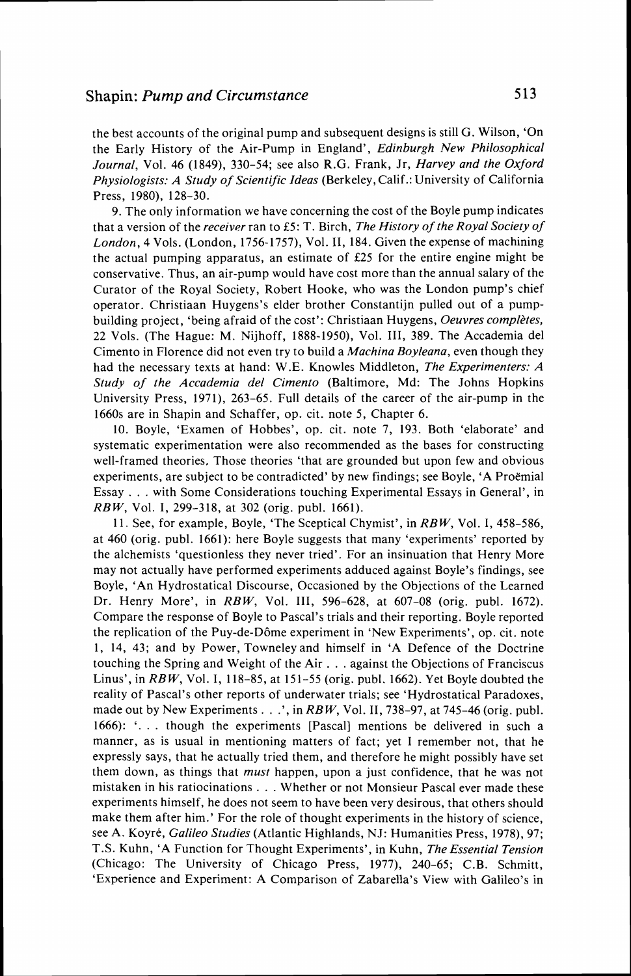the best accounts of the original pump and subsequent designs is still G. Wilson, 'On the Early History of the Air-Pump in England', *Edinburgh New Philosophical*  Journal, Vol. 46 (1849), 330-54; see also R.G. Frank, Jr, *Harvey and the Oxford Physiologists: A Study of Scientific Ideas* (Berkeley,Calif.: University of California Press, 1980), 128-30.

9. The only information we have concerning the cost of the Boyle pump indicates that a version of the *receiver* ran to £5: T. Birch, *The History of the Royal Society of London,* 4 Vols. (London, 1756-1757), Vol. 11, 184. Given the expense of machining the actual pumping apparatus, an estimate of £25 for the entire engine might be conservative. Thus, an air-pump would have cost more than the annual salary of the Curator of the Royal Society, Robert Hooke, who was the London pump's chief operator. Christiaan Huygens's elder brother Constantijn pulled out of a pumpbuilding project, 'being afraid of the cost': Christiaan Huygens, *Oeuvres complètes*, 22 Vols. (The Hague: M. Nijhoff, 1888-1950), Vol. 111, 389. The Accademia del Cimento in Florence did not even try to build a *Machina Boyleana,* even though they had the necessary texts at hand: W.E. Knowles Middleton, *The Experimenters: A Study of the Accadernia del Cimento* (Baltimore, Md: The Johns Hopkins University Press, 1971), 263-65. Full details of the career of the air-pump in the 1660s are in Shapin and Schaffer, op. cit. note 5, Chapter 6.

10. Boyle, 'Examen of Hobbes', op. cit. note 7, 193. Both 'elaborate' and systematic experimentation were also recommended as the bases for constructing well-framed theories, Those theories 'that are grounded but upon few and obvious experiments, are subject to be contradicted' by new findings; see Boyle, 'A Proemial Essay . . . with Some Considerations touching Experimental Essays in General', in *RBW,* Vol. I, 299-318, at 302 (orig. publ. 1661).

11. See, for example, Boyle, 'The Sceptical Chymist', in *RBW,* Vol. I, 458-586, at 460 (orig. publ. 1661): here Boyle suggests that many 'experiments' reported by the alchemists 'questionless they never tried'. For an insinuation that Henry More may not actually have performed experiments adduced against Boyle's findings, see Boyle, 'An Hydrostatical Discourse, Occasioned by the Objections of the Learned Dr. Henry More', in *RBW,* Vol. 111, 596-628, at 607-08 (orig. publ. 1672). Compare the response of Boyle to Pascal's trials and their reporting. Boyle reported the replication of the Puy-de-Dôme experiment in 'New Experiments', op. cit. note 1, 14, 43; and by Power, Towneley and himself in 'A Defence of the Doctrine touching the Spring and Weight of the Air . . . against the Objections of Franciscus Linus', in *RBW,* Vol. I, 118-85, at 15 1-55 (orig. publ. 1662). Yet Boyle doubted the reality of Pascal's other reports of underwater trials; see 'Hydrostatical Paradoxes, made out by New Experiments . . .', in *RBW*, Vol. II, 738-97, at 745-46 (orig. publ. 1666): '. . . though the experiments [Pascal] mentions be delivered in such a manner, as is usual in mentioning matters of fact; yet I remember not, that he expressly says, that he actually tried them, and therefore he might possibly have set them down, as things that *must* happen, upon a just confidence, that he was not mistaken in his ratiocinations . . . Whether or not Monsieur Pascal ever made these experiments himself, he does not seem to have been very desirous, that others should make them after him.' For the role of thought experiments in the history of science, see A. Koyre, *Galileo Studies* (Atlantic Highlands, NJ: Humanities Press, 1978), 97; T.S. Kuhn, 'A Function for Thought Experiments', in Kuhn, *The Essential Tension*  (Chicago: The University of Chicago Press, 1977), 240-65; C.B. Schmitt, 'Experience and Experiment: A Comparison of Zabarella's View with Galileo's in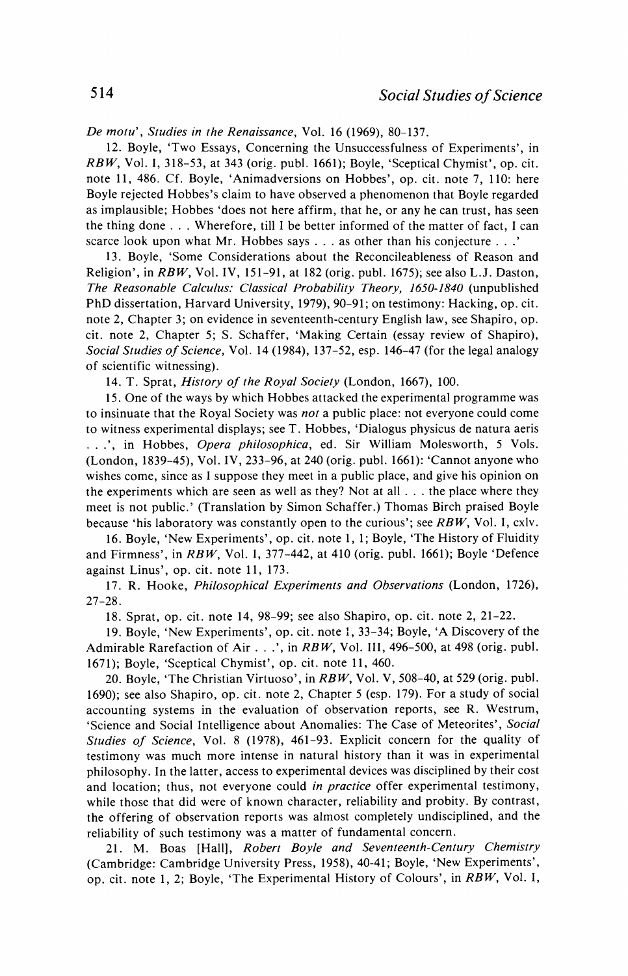*De motu', Studies in the Renaissance, Vol. 16 (1969), 80-137.* 

12. Boyle, 'Two Essays, Concerning the Unsuccessfulness of Experiments', in *RBW,* Vol. 1, 318-53, at 343 (orig. publ. 1661); Boyle, 'Sceptical Chymist', op. cit. note 11, 486. Cf. Boyle, 'Animadversions on Hobbes', op. cit. note 7, 110: here Boyle rejected Hobbes's claim to have observed a phenomenon that Boyle regarded as implausible; Hobbes 'does not here affirm, that he, or any he can trust, has seen the thing done . . . Wherefore, till I be better informed of the matter of fact, I can scarce look upon what Mr. Hobbes says . . . as other than his conjecture . . .'

13. Boyle, 'Some Considerations about the Reconcileableness of Reason and Religion', in *RBW,* Vol. IV, 151-91, at 182 (orig. publ. 1675); see also L.J. Daston, *The Reasonable Calculus: Classical Probability Theory, 1650-1840* (unpublished PhD dissertation, Harvard University, 1979), 90-91; on testimony: Hacking, op. cit. note 2, Chapter 3; on evidence in seventeenth-century English law, see Shapiro, op. cit. note 2, Chapter 5; S. Schaffer, 'Making Certain (essay review of Shapiro), *Social Studies of Scrence,* Vol. 14 (1984), 137-52, esp. 146-47 (for the legal analogy of scientific witnessing).

14. T. Sprat, *History of the Royal Society* (London, 1667), 100.

15. One of the ways by which Hobbes attacked the experimental programme was to insinuate that the Royal Society was *not* a public place: not everyone could come to witness experimental displays; see T. Hobbes, 'Dialogus physicus de natura aeris . . .', in Hobbes, *Opera philosophica,* ed. Sir William Molesworth, 5 Vols. (London, 1839-45), Vol. lV, 233-96, at 240 (orig. publ. 1661): 'Cannot anyone who wishes come, since as 1 suppose they meet in a public place, and give his opinion on the experiments which are seen as well as they? Not at all . . . the place where they meet is not public.' (Translation by Simon Schaffer.) Thomas Birch praised Boyle because 'his laboratory was constantly open to the curious'; see *RBW,* Vol. I, cxlv.

16. Boyle, 'New Experiments', op. cit. note 1, 1; Boyle, 'The History of Fluidity and Firmness', in *RBW,* Vol. I, 377-442, at 410 (orig. publ. 1661); Boyle 'Defence against Linus', op. cit. note 11, 173.

17. R. Hooke, *Philosophical Experiments and Observations* (London, 1726), 27-28.

18. Sprat, op. cit. note 14, 98-99; see also Shapiro, op. cit. note 2, 21-22.

19. Boyle, 'New Experiments', op. cit. note 1, 33-34; Boyle, 'A Discovery of the Admirable Rarefaction of Air . . .', in *RBW,* Vol. 111, 496-500, at 498 (orig. publ. 1671); Boyle, 'Sceptical Chymist', op. cit. note 11, 460.

20. Boyle, 'The Christian Virtuoso', in *RBW,* Vol. V, 508-40, at 529 (orig. publ. 1690); see also Shapiro, op. cit. note 2, Chapter 5 (esp. 179). For a study of social accounting systems in the evaluation of observation reports, see R. Westrum, 'Science and Social Intelligence about Anomalies: The Case of Meteorites', *Socral Studies of Science,* Vol. 8 (1978), 461-93. Explicit concern for the quality of testimony was much more intense in natural history than it was in experimental philosophy. In the latter, access to experimental devices was disciplined by their cost and location; thus, not everyone could *in practice* offer experimental testimony, while those that did were of known character, reliability and probity. By contrast, the offering of observation reports was almost completely undisciplined, and the reliability of such testimony was a matter of fundamental concern.

21. M. Boas [Hall], *Robert Boyle and Seventeenth-Century Chemistry*  (Cambridge: Cambridge University Press, 1958), 40-41; Boyle, 'New Experiments', op. cit. note 1, 2; Boyle, 'The Experimental History of Colours', in *RBW,* Vol. I,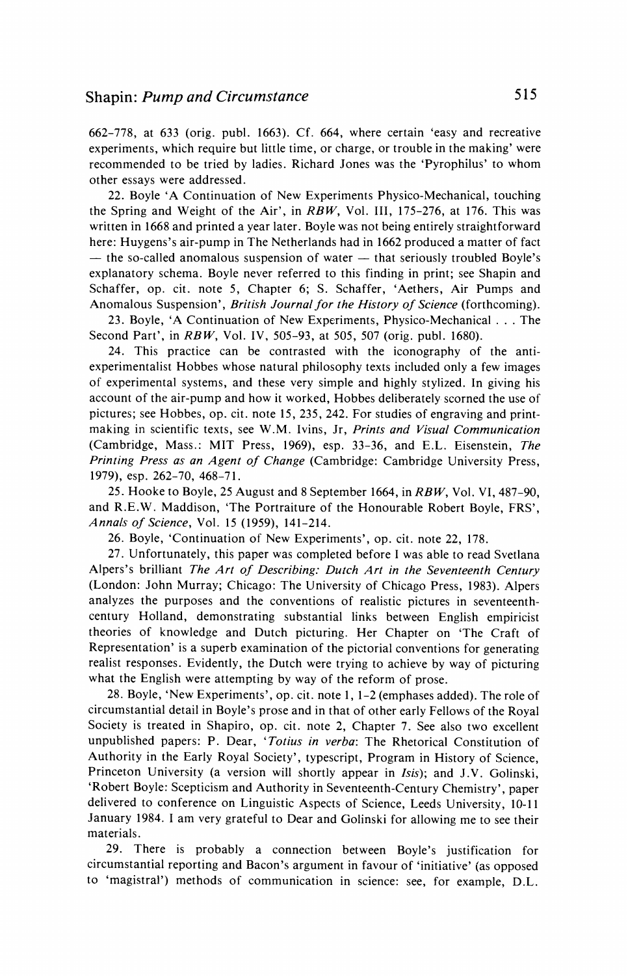662-778, at 633 (orig. publ. 1663). Cf. 664, where certain 'easy and recreative experiments, which require but little time, or charge, or trouble in the making' were recommended to be tried by ladies. Richard Jones was the 'Pyrophilus' to whom other essays were addressed.

22. Boyle 'A Continuation of New Experiments Physico-Mechanical, touching the Spring and Weight of the Air', in *RBW,* Vol. 111, 175-276, at 176. This was written in 1668 and printed a year later. Boyle was not being entirely straightforward here: Huygens's air-pump in The Netherlands had in 1662 produced a matter of fact  $-$  the so-called anomalous suspension of water  $-$  that seriously troubled Boyle's explanatory schema. Boyle never referred to this finding in print; see Shapin and Schaffer, op. cit. note 5, Chapter 6; S. Schaffer, 'Aethers, Air Pumps and Anomalous Suspension', *British Journal for the Hlstory of Science* (forthcoming).

23. Boyle, 'A Continuation of New Experiments, Physico-Mechanical . . . The Second Part', in *RBW,* Vol. IV, 505-93, at 505, 507 (orig. publ. 1680).

24. This practice can be contrasted with the iconography of the antiexperimentalist Hobbes whose natural philosophy texts included only a few images of experimental systems, and these very simple and highly stylized. In giving his account of the air-pump and how it worked, Hobbes deliberately scorned the use of pictures; see Hobbes, op. cit. note 15, 235, 242. For studies of engraving and printmaking in scientific texts, see W.M. Ivins, Jr, *Prints and Visual Communication*  (Cambridge, Mass.: MIT Press, 1969), esp. 33-36, and E.L. Eisenstein, *The*  Printing Press as an Agent of Change (Cambridge: Cambridge University Press, 1979), esp. 262-70, 468-71.

25. Hooke to Boyle, 25 August and 8 September 1664, in *RBW,* Vol. VI, 487-90, and R.E.W. Maddison, 'The Portraiture of the Honourable Robert Boyle, FRS', *Annals of Sclence,* Vol. 15 (1959), 141-214.

26. Boyle, 'Continuation of New Experiments', op. cit. note 22, 178.

27. Unfortunately, this paper was completed before I was able to read Svetlana Alpers's brilliant *The Art of Describing: Dutch Arr in the Seventeenth Century*  (London: John Murray; Chicago: The University of Chicago Press, 1983). Alpers analyzes the purposes and the conventions of realistic pictures in seventeenthcentury Holland, demonstrating substantial links between English empiricist theories of knowledge and Dutch picturing. Her Chapter on 'The Craft of Representation' is a superb examination of the pictorial conventions for generating realist responses. Evidently, the Dutch were trying to achieve by way of picturing what the English were attempting by way of the reform of prose.

28. Boyle, 'New Experiments', op. cit. note 1, 1-2 (emphases added). The role of circumstantial detail in Boyle's prose and in that of other early Fellows of the Royal Society is treated in Shapiro, op. cit. note 2, Chapter 7. See also two excellent unpublished papers: P. Dear, *'Totius* in *verba:* The Rhetorical Constitution of Authority in the Early Royal Society', typescript, Program in History of Science, Princeton University (a version will shortly appear in *Isis*); and J.V. Golinski, 'Robert Boyle: Scepticism and Authority in Seventeenth-Century Chemistry', paper delivered to conference on Linguistic Aspects of Science, Leeds University, 10.11 January 1984. 1 am very grateful to Dear and Golinski for allowing me to see their materials.

29. There is probably a connection between Boyle's justification for circumstantial reporting and Bacon's argument in favour of 'initiative' (as opposed to 'magistral') methods of communication in science: see, for example, D.L.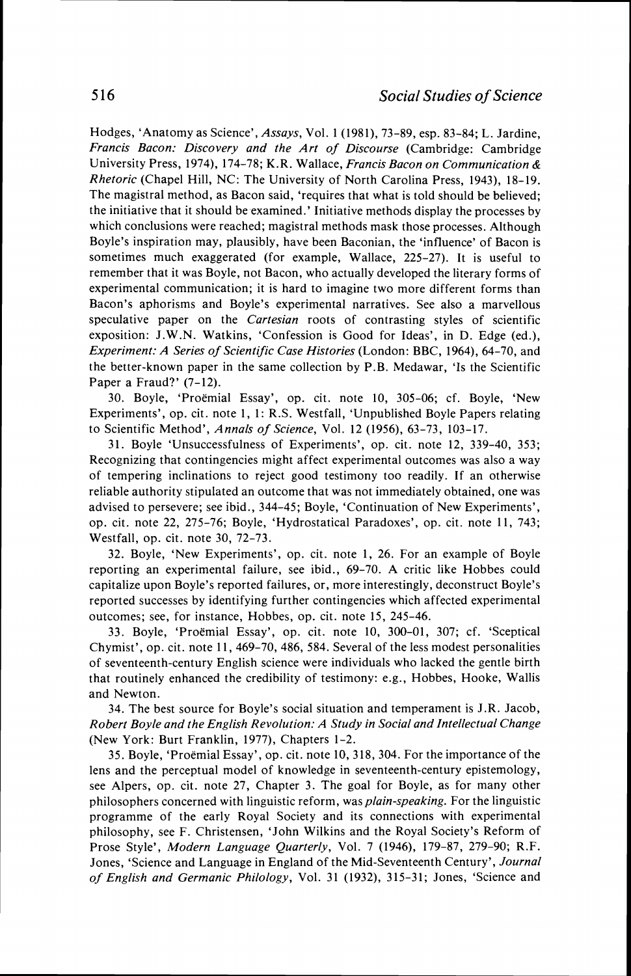Hodges, 'Anatomy as Science', *Assays,* Vol. 1 (1981), 73-89, esp. 83-84; L. Jardine, *Francis Bacon: Discovery and the Art of Discourse* (Cambridge: Cambridge University Press, 1974), 174-78; K.R. Wallace, *Francis Bacon on Communication* & *Rhetoric* (Chapel Hill, NC: The University of North Carolina Press, 1943), 18-19. The magistral method, as Bacon said, 'requires that what is told should be believed; the initiative that it should be examined.' Initiative methods display the processes by which conclusions were reached; magistral methods mask those processes. Although Boyle's inspiration may, plausibly, have been Baconian, the 'influence' of Bacon is sometimes much exaggerated (for example, Wallace, 225-27). It is useful to remember that it was Boyle, not Bacon, who actually developed the literary forms of experimental communication; it is hard to imagine two more different forms than Bacon's aphorisms and Boyle's experimental narratives. See also a marvellous speculative paper on the *Cartesian* roots of contrasting styles of scientific exposition: J.W.N. Watkins, 'Confession is Good for Ideas', in D. Edge (ed.), *Experiment: A Series of Scientific Case Histories* (London: BBC, 1964), 64-70, and the better-known paper in the same collection by P.B. Medawar, 'Is the Scientific Paper a Fraud?' (7-12).

30. Boyle, 'Proemial Essay', op. cit. note 10, 305-06; cf. Boyle, 'New Experiments', op. cit. note 1, 1: R.S. Westfall, 'Unpublished Boyle Papers relating to Scientific Method', *Annals of Science,* Vol. 12 (1956), 63-73, 103-17.

31. Boyle 'Unsuccessfulness of Experiments', op. cit. note 12, 339-40, 353; Recognizing that contingencies might affect experimental outcomes was also a way of tempering inclinations to reject good testimony too readily. If an otherwise reliable authority stipulated an outcome that was not immediately obtained, one was advised to persevere; see ibid., 344-45; Boyle, 'Continuation of New Experiments', op. cit. note 22, 275-76: Boyle, 'Hydrostatical Paradoxes', op. cit. note 11, 743; Westfall, op. cit. note 30, 72-73.

32. Boyle, 'New Experiments', op. cit. note 1, 26. For an example of Boyle reporting an experimental failure, see ibid., 69-70. **A** critic like Hobbes could capitalize upon Boyle's reported failures, or, more interestingly, deconstruct Boyle's reported successes by identifying further contingencies which affected experimental outcomes; see, for instance, Hobbes, op. cit. note 15, 245-46.

33. Boyle, 'Proemial Essay', op. cit. note 10, 300-01, 307; cf. 'Sceptical Chymist', op. cit. note 11, 469-70, 486, 584. Several of the less modest personalities of seventeenth-century English science were individuals who lacked the gentle birth that routinely enhanced the credibility of testimony: e.g., Hobbes, Hooke, Wallis and Newton.

34. The best source for Boyle's social situation and temperament is J.R. Jacob, *Robert Boyle and the English Revolution: A Study in Social and Intellectual Change*  (New York: Burt Franklin, 1977), Chapters 1-2.

35. Boyle, 'ProemialEssay', op. cit. note 10, 318, 304. For the importance of the lens and the perceptual model of knowledge in seventeenth-century epistemology, see Alpers, op. cit. note 27, Chapter 3. The goal for Boyle, as for many other philosophers concerned with linguistic reform, was *plain-speaking.* For the linguistic programme of the early Royal Society and its connections with experimental philosophy, see F. Christensen, 'John Wilkins and the Royal Society's Reform of Prose Style', *Modern Language Quarterly,* Vol. 7 (1946), 179-87, 279-90; R.F. Jones, 'Science and Language in England of the Mid-Seventeenth Century', *Journal of English and Germanic Philology,* Vol. 31 (1932), 315-31; Jones, 'Science and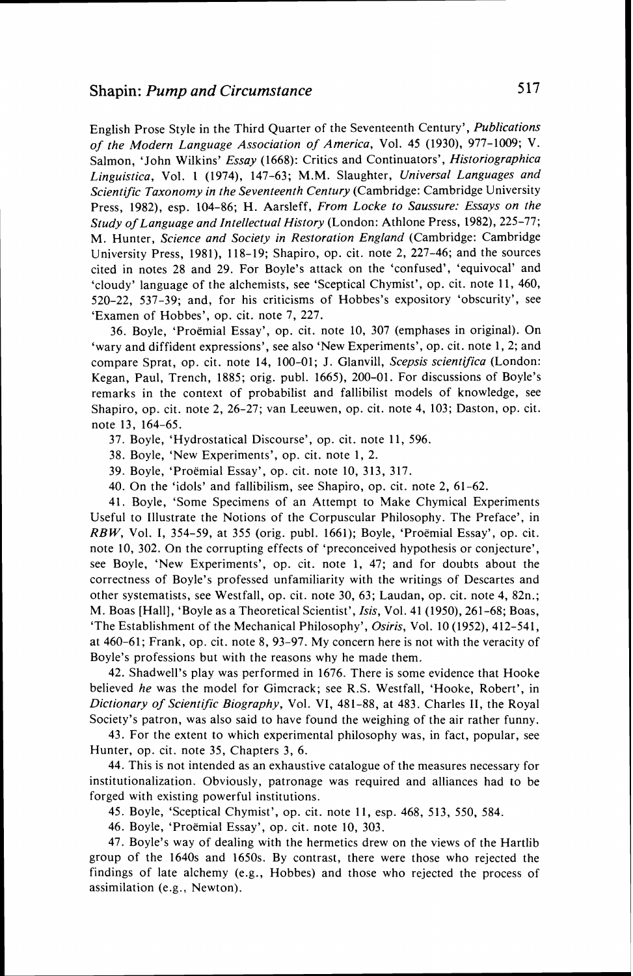English Prose Style in the Third Quarter of the Seventeenth Century', *Publications of the Modern Language Association of America,* Vol. 45 (1930), 977-1009; V. Salmon, 'John Wilkins' *Essay* (1668): Critics and Continuators', *Historiographica Linguistics,* Vol. 1 (1974), 147-63; M.M. Slaughter, *Universal Languages and*  Scientific Taxonomy in the Seventeenth Century (Cambridge: Cambridge University Press, 1982). esp. 104-86; H. Aarsleff, *Frorn Locke to Saussure: Essays on the*  Study of Language and Intellectual History (London: Athlone Press, 1982). 225-77; **M.** Hunter, *Science and Society in Restoration England* (Cambridge: Cambridge University Press, 1981), 118-19; Shapiro, op. cit. note 2, 227-46; and the sources cited in notes 28 and 29. For Boyle's attack on the 'confused', 'equivocal' and 'cloudy' language of the alchemists, see 'Sceptical Chymist', op. cit. note 11, 460, 520-22, 537-39; and, for his criticisms of Hobbes's expository 'obscurity', see 'Examen of Hobbes', op. cit. note 7, 227.

36. Boyle, 'Proemial Essay', op. cit. note 10, 307 (emphases in original). On 'wary and diffident expressions', see also 'New Experiments', op. cit. note 1, 2; and compare Sprat, op. cit. note 14, 100-01; J. Glanvill, *Scepsis scientifica* (London: Kegan, Paul, Trench, 1885; orig. publ. 1665), 200-01. For discussions of Boyle's remarks in the context of probabilist and fallibilist models of knowledge, see Shapiro, op. cit. note 2, 26-27; van Leeuwen, op. cit. note 4, 103; Daston, op. cit. note 13, 164-65.

37. Boyle, 'Hydrostatical Discourse', op. cit. note 11, 596.

38. Boyle, 'New Experiments', op. cit. note 1, 2.

39. Boyle, 'Proemial Essay', op. cit. note 10, 313, 317.

40. On the 'idols' and fallibilism, see Shapiro, op. cit. note 2, 61-62.

41. Boyle, 'Some Specimens of an Attempt to Make Chymical Experiments Useful to Illustrate the Notions of the Corpuscular Philosophy. The Preface', in *RBU',* Voi. I, 354-59, at 355 (orig. publ. 1661); Boyle, 'Proemial Essay', op. cit. note 10, 302. On the corrupting effects of 'preconceived hypothesis or conjecture', see Boyle, 'New Experiments', op. cit. note 1, 47; and for doubts abour the correctness of Boyle's professed unfamiliarity with the writings of Descartes and other systematists, see Westfall, op. cit. note 30, 63; Laudan, op. cit. note 4, 82n.; M. Boas [Hall], 'Boyle as a Theoretical Scientist', *Isis,* Vol. 41 (1950), 261-68; Boas, 'The Establishment of the Mechanical Philosophy', *Osiris,* Vol. 10 (1952), 412-541, at 460-61; Frank, op. cit. note 8, 93-97. My concern here is not with the veracity of Boyle's professions but with the reasons why he made them.

42. Shadwell's play was performed in 1676. There is some evidence that Hooke believed *he* was the model for Gimcrack; see R.S. Westfall, 'Hooke, Robert', in *Dictionary of Scientific Biography, Vol. VI, 481-88, at 483. Charles II, the Royal* Society's patron, was also said to have found the weighing of the air rather funny.

43. For the extent to which experimental philosophy was, in fact, popular, see Hunter, op. cit. note 35, Chapters 3, 6.

44. This is not intended as an exhaustive catalogue of the measures necessary for institutionalization. Obviously, patronage was required and alliances had to be forged with existing powerful institutions.

45. Boyle, 'Sceptical Chymist', op. cit. note 11, esp. 468, 513, 550, 584.

46. Boyle, 'Proemial Essay', op. cit. note 10, 303.

47. Boyle's way of dealing with the hermetics drew on the views of the Hartlib group of the 1640s and 1650s. By contrast, there were those who rejected the findings of late alchemy (e.g., Hobbes) and those who rejected the process of assimilation (e.g.. Newton).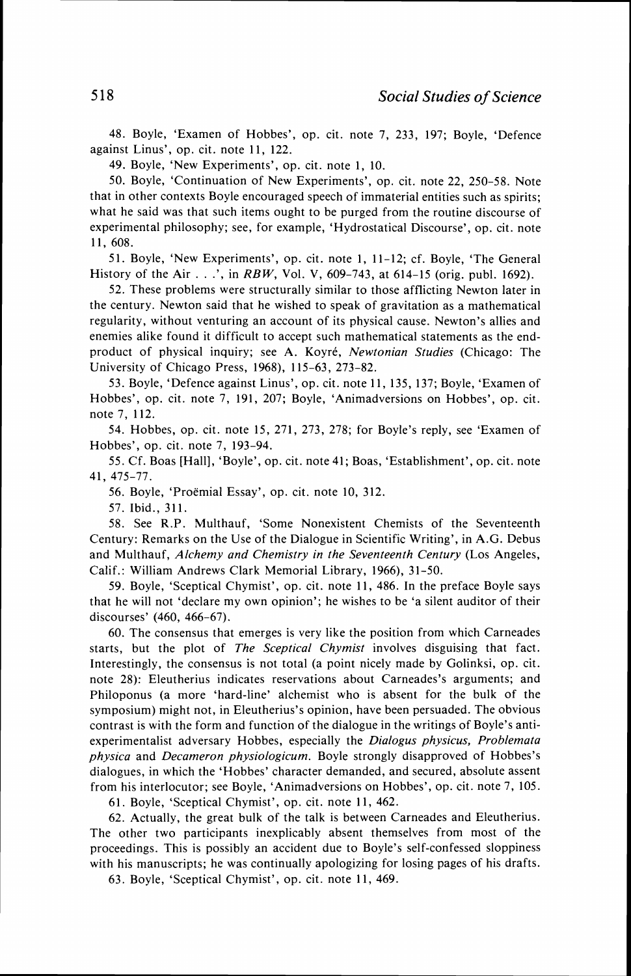48. Boyle, 'Examen of Hobbes', op. cit. note 7, 233, 197; Boyle, 'Defence against Linus', op. cit. note 11, 122.

49. Boyle, 'New Experiments', op. cit. note 1, 10.

50. Boyle, 'Continuation of New Experiments', op. cit. note 22, 250-58. Note that in other contexts Boyle encouraged speech of immaterial entities such as spirits; what he said was that such items ought to be purged from the routine discourse of experimental philosophy; see, for example, 'Hydrostatical Discourse', op. cit. note 11, 608.

51. Boyle, 'New Experiments', op. cit. note 1, 11-12; cf. Boyle, 'The General History of the Air . . .', in RBW, Vol. V, 609-743, at 614-15 (orig. publ. 1692).

52. These problems were structurally similar to those afflicting Newton later in the century. Newton said that he wished to speak of gravitation as a mathematical regularity, without venturing an account of its physical cause. Newton's allies and enemies alike found it difficult to accept such mathematical statements as the endproduct of physical inquiry; see A. Koyré, *Newtonian Studies* (Chicago: The University of Chicago Press, 1968). 115-63, 273-82.

53. Boyle, 'Defence against Linus', op. cit. note 11, 135, 137; Boyle, 'Examen of Hobbes', op. cit. note 7, 191, 207; Boyle, 'Animadversions on Hobbes', op. cit. note 7, 112.

54. Hobbes, op. cit. note 15, 271, 273, 278; for Boyle's reply, see 'Examen of Hobbes', op. cit. note 7, 193-94.

55. Cf. Boas [Hall], 'Boyle', op. cit. note 41; Boas, 'Establishment', op. cit. note 41, 475-77.

56. Boyle, 'Proemial Essay', op. cit. note 10, 312.

57. Ibid., 311.

58. See R.P. Multhauf, 'Some Nonexistent Chemists of the Seventeenth Century: Remarks on the Use of the Dialogue in Scientific Writing', in A.G. Debus and Multhauf, *Alchemy and Chemistry in the Seventeenth Century* (Los Angeles, Calif.: William Andrews Clark Memorial Library, 1966). 31-50.

59. Boyle, 'Sceptical Chymist', op. cit. note 11, 486, In the preface Boyle says that he will not 'declare my own opinion'; he wishes to be 'a silent auditor of their discourses' (460, 466-67).

60. The consensus that emerges is very like the position from which Carneades starts, but the plot of *The Sceptrcal Chymist* involves disguising that fact. Interestingly, the consensus is not total (a point nicely made by Golinksi, op. cit. note 28): Eleutherius indicates reservations about Carneades's arguments; and Philoponus (a more 'hard-line' alchemist who is absent for the bulk of the symposium) might not, in Eleutherius's opinion, have been persuaded. The obvious contrast is with the form and function of the dialogue in the writings of Boyle's antiexperimentalist adversary Hobbes, especially the *Dialogus physicus, Problemata physica* and *Decameron physiologicum.* Boyle strongly disapproved of Hobbes's dialogues, in which the 'Hobbes' character demanded, and secured, absolute assent from his interlocutor; see Boyle, 'Animadversions on Hobbes', op. cit. note 7, 105.

61. Boyle, 'Sceptical Chymist', op. cit. note 11, 462.

62. Actually, the great bulk of the talk is between Carneades and Eleutherius. The other two participants inexplicably absent themselves from most of the proceedings. This is possibly an accident due to Boyle's self-confessed sloppiness with his manuscripts; he was continually apologizing for losing pages of his drafts.

63. Boyle, 'Sceptical Chymist', op. cit. note 11, 469.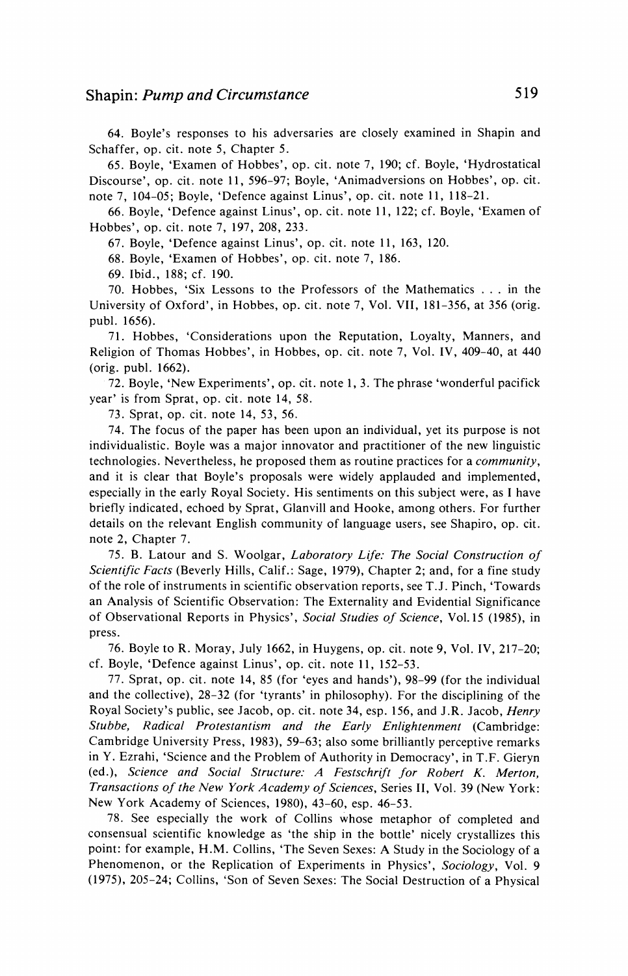64, Boyle's responses to his adversaries are closely examined in Shapin and Schaffer, op. cit. note 5, Chapter 5.

65. Boyle, 'Examen of Hobbes', op. cit. note 7, 190; cf. Boyle, 'Hydrostatical Discourse', op. cit. note 11, 596-97; Boyle, 'Animadversions on Hobbes', op. cit. note 7, 104-05; Boyle, 'Defence against Linus', op. cit. note 11, 118-21.

66. Boyle, 'Defence against Linus', op. cit. note 11, 122; cf. Boyle, 'Examen of Hobbes', op. cit. note 7, 197, 208, 233.

67. Boyle, 'Defence against Linus', op. cit. note 11, 163, 120.

68. Boyle, 'Examen of Hobbes', op. cit. note 7, 186.

69. Ibid., 188; cf. 190.

70. Hobbes, 'Six Lessons to the Professors of the Mathematics . . . in the University of Oxford', in Hobbes, op. cit. note 7, Vol. VII, 181-356, at 356 (orig. publ. 1656).

71. Hobbes, 'Considerations upon the Reputation, Loyalty, Manners, and Religion of Thomas Hobbes', in Hobbes, op. cit. note 7, Vol. IV, 409-40, at 440 (orig. publ. 1662).

72. Boyle, 'New Experiments', op. cit. note 1, 3. The phrase 'wonderful pacifick year' is from Sprat, op. cit. note 14, 58.

73. Sprat, op. cit. note 14, 53, 56.

74. The focus of the paper has been upon an individual, yet its purpose is not individualistic. Boyle was a major innovator and practitioner of the new linguistic technologies. Nevertheless, he proposed them as routine practices for a *community,*  and it is clear rhat Boyle's proposals were widely applauded and implemented, especially in the early Royal Society. His sentiments on this subject were, as I have briefly indicated, echoed by Sprat, Glanvill and Hooke, among others. For further details on the relevant English community of language users, see Shapiro, op. cit. note 2, Chapter 7.

75. B. Latour and S. Woolgar, *Laboratory Lrfe: The Social Construction of Scientific Facts* (Beverly Hills, Calif.: Sage, 1979). Chapter 2; and, for a fine study of the role of instruments in scientific observation reports, see T.J. Pinch, 'Towards an Analysis of Scientific Observation: The Externality and Evidential Significance of Observational Reports in Physics', *Social Studies of Science,* Vol. 15 (1985). in press.

76. Boyle to R. Moray, July 1662, in Huygens, op. cit. note 9, Vol. IV, 217-20; cf. Boyle, 'Defence against Linus', op. cit. note 11, 152-53.

77. Sprat, op. cit. note 14, 85 (for 'eyes and hands'), 98-99 (for the individual and the collective), 28-32 (for 'tyrants' in philosophy). For the disciplining of the Royal Society's public, see Jacob, op. cit. note 34, esp. 156, and J.R. Jacob, *Henry*  Stubbe, Radical Protestantism and the Early Enlightenment (Cambridge: Cambridge University Press, 1983). 59-63; also some brilliantly perceptive remarks in Y. Ezrahi, 'Science and the Problem of Authority in Democracy', in T.F. Gieryn (ed.), *Science and Social Structure: A Festschrift for Robert K. Merton, Transactions ofthe New York Academy of Sciences,* Series 11, Vol. 39 (New York: New York Academy of Sciences, 1980), 43-60, esp. 46-53.

78. See especially the work of Collins whose metaphor of completed and consensual scientific knowledge as 'the ship in the bottle' nicely crystallizes this point: for example, H.M. Collins, 'The Seven Sexes: A Study in the Sociology of a Phenomenon, or the Replication of Experiments in Physics', *Sociology,* Vol. 9 (1975), 205-24; Collins, 'Son of Seven Sexes: The Social Destruction of a Physical